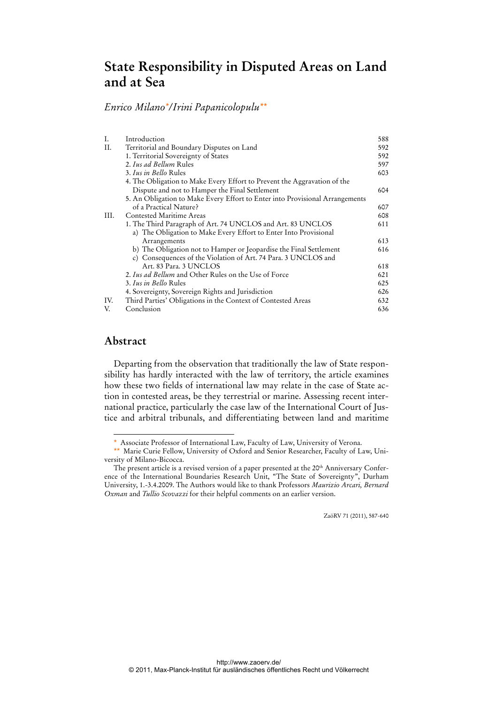# **State Responsibility in Disputed Areas on Land and at Sea**

*Enrico Milano\*/Irini Papanicolopulu\*\**

| Ι.   | Introduction                                                                 | 588 |
|------|------------------------------------------------------------------------------|-----|
| Н.   | Territorial and Boundary Disputes on Land                                    | 592 |
|      | 1. Territorial Sovereignty of States                                         | 592 |
|      | 2. Ius ad Bellum Rules                                                       | 597 |
|      | 3. Ius in Bello Rules                                                        | 603 |
|      | 4. The Obligation to Make Every Effort to Prevent the Aggravation of the     |     |
|      | Dispute and not to Hamper the Final Settlement                               | 604 |
|      | 5. An Obligation to Make Every Effort to Enter into Provisional Arrangements |     |
|      | of a Practical Nature?                                                       | 607 |
| III. | Contested Maritime Areas                                                     | 608 |
|      | 1. The Third Paragraph of Art. 74 UNCLOS and Art. 83 UNCLOS                  | 611 |
|      | a) The Obligation to Make Every Effort to Enter Into Provisional             |     |
|      | Arrangements                                                                 | 613 |
|      | b) The Obligation not to Hamper or Jeopardise the Final Settlement           | 616 |
|      | c) Consequences of the Violation of Art. 74 Para. 3 UNCLOS and               |     |
|      | Art. 83 Para. 3 UNCLOS                                                       | 618 |
|      | 2. Ius ad Bellum and Other Rules on the Use of Force                         | 621 |
|      | 3. Ius in Bello Rules                                                        | 625 |
|      | 4. Sovereignty, Sovereign Rights and Jurisdiction                            | 626 |
| IV.  | Third Parties' Obligations in the Context of Contested Areas                 | 632 |
| V.   | Conclusion                                                                   | 636 |
|      |                                                                              |     |

## **Abstract**

 $\ddot{ }$ 

Departing from the observation that traditionally the law of State responsibility has hardly interacted with the law of territory, the article examines how these two fields of international law may relate in the case of State action in contested areas, be they terrestrial or marine. Assessing recent international practice, particularly the case law of the International Court of Justice and arbitral tribunals, and differentiating between land and maritime

ZaöRV 71 (2011), 587-640

<sup>\*</sup> Associate Professor of International Law, Faculty of Law, University of Verona.

<sup>\*\*</sup> Marie Curie Fellow, University of Oxford and Senior Researcher, Faculty of Law, University of Milano-Bicocca.

The present article is a revised version of a paper presented at the 20<sup>th</sup> Anniversary Conference of the International Boundaries Research Unit, "The State of Sovereignty", Durham University, 1.-3.4.2009. The Authors would like to thank Professors *Maurizio Arcari, Bernard Oxman* and *Tullio Scovazzi* for their helpful comments on an earlier version.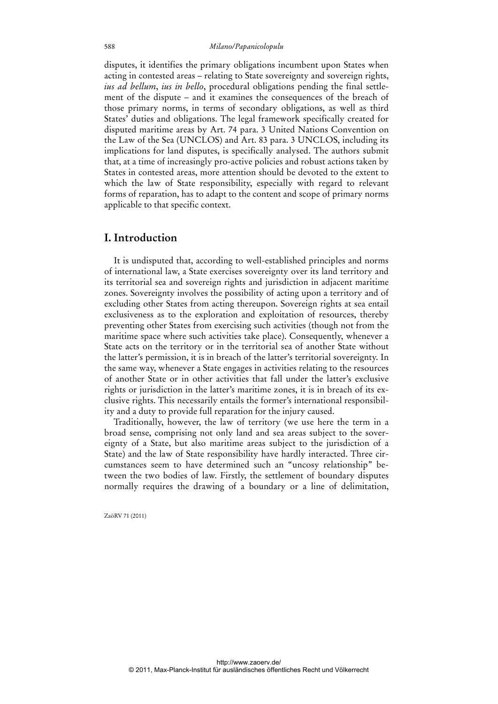#### 588 *Milano/Papanicolopulu*

disputes, it identifies the primary obligations incumbent upon States when acting in contested areas – relating to State sovereignty and sovereign rights, *ius ad bellum*, *ius in bello*, procedural obligations pending the final settlement of the dispute – and it examines the consequences of the breach of those primary norms, in terms of secondary obligations, as well as third States' duties and obligations. The legal framework specifically created for disputed maritime areas by Art. 74 para. 3 United Nations Convention on the Law of the Sea (UNCLOS) and Art. 83 para. 3 UNCLOS, including its implications for land disputes, is specifically analysed. The authors submit that, at a time of increasingly pro-active policies and robust actions taken by States in contested areas, more attention should be devoted to the extent to which the law of State responsibility, especially with regard to relevant forms of reparation, has to adapt to the content and scope of primary norms applicable to that specific context.

## **I. Introduction**

It is undisputed that, according to well-established principles and norms of international law, a State exercises sovereignty over its land territory and its territorial sea and sovereign rights and jurisdiction in adjacent maritime zones. Sovereignty involves the possibility of acting upon a territory and of excluding other States from acting thereupon. Sovereign rights at sea entail exclusiveness as to the exploration and exploitation of resources, thereby preventing other States from exercising such activities (though not from the maritime space where such activities take place). Consequently, whenever a State acts on the territory or in the territorial sea of another State without the latter's permission, it is in breach of the latter's territorial sovereignty. In the same way, whenever a State engages in activities relating to the resources of another State or in other activities that fall under the latter's exclusive rights or jurisdiction in the latter's maritime zones, it is in breach of its exclusive rights. This necessarily entails the former's international responsibility and a duty to provide full reparation for the injury caused.

Traditionally, however, the law of territory (we use here the term in a broad sense, comprising not only land and sea areas subject to the sovereignty of a State, but also maritime areas subject to the jurisdiction of a State) and the law of State responsibility have hardly interacted. Three circumstances seem to have determined such an "uncosy relationship" between the two bodies of law. Firstly, the settlement of boundary disputes normally requires the drawing of a boundary or a line of delimitation,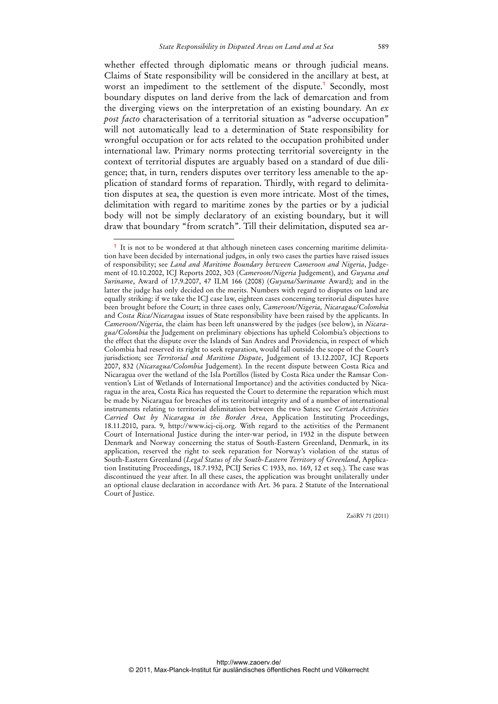whether effected through diplomatic means or through judicial means. Claims of State responsibility will be considered in the ancillary at best, at worst an impediment to the settlement of the dispute.<sup>1</sup> Secondly, most boundary disputes on land derive from the lack of demarcation and from the diverging views on the interpretation of an existing boundary. An *ex post facto* characterisation of a territorial situation as "adverse occupation" will not automatically lead to a determination of State responsibility for wrongful occupation or for acts related to the occupation prohibited under international law. Primary norms protecting territorial sovereignty in the context of territorial disputes are arguably based on a standard of due diligence; that, in turn, renders disputes over territory less amenable to the application of standard forms of reparation. Thirdly, with regard to delimitation disputes at sea, the question is even more intricate. Most of the times, delimitation with regard to maritime zones by the parties or by a judicial body will not be simply declaratory of an existing boundary, but it will draw that boundary "from scratch". Till their delimitation, disputed sea ar-

 $\overline{a}$ 

<sup>&</sup>lt;sup>1</sup> It is not to be wondered at that although nineteen cases concerning maritime delimitation have been decided by international judges, in only two cases the parties have raised issues of responsibility; see *Land and Maritime Boundary between Cameroon and Nigeria*, Judgement of 10.10.2002, ICJ Reports 2002, 303 (*Cameroon/Nigeria* Judgement), and *Guyana and Suriname*, Award of 17.9.2007, 47 ILM 166 (2008) (*Guyana/Suriname* Award); and in the latter the judge has only decided on the merits. Numbers with regard to disputes on land are equally striking: if we take the ICJ case law, eighteen cases concerning territorial disputes have been brought before the Court; in three cases only, *Cameroon/Nigeria, Nicaragua/Colombia* and *Costa Rica/Nicaragua* issues of State responsibility have been raised by the applicants. In *Cameroon/Nigeria*, the claim has been left unanswered by the judges (see below), in *Nicaragua/Colombia* the Judgement on preliminary objections has upheld Colombia's objections to the effect that the dispute over the Islands of San Andres and Providencia, in respect of which Colombia had reserved its right to seek reparation, would fall outside the scope of the Court's jurisdiction; see *Territorial and Maritime Dispute*, Judgement of 13.12.2007, ICJ Reports 2007, 832 (*Nicaragua/Colombia* Judgement). In the recent dispute between Costa Rica and Nicaragua over the wetland of the Isla Portillos (listed by Costa Rica under the Ramsar Convention's List of Wetlands of International Importance) and the activities conducted by Nicaragua in the area, Costa Rica has requested the Court to determine the reparation which must be made by Nicaragua for breaches of its territorial integrity and of a number of international instruments relating to territorial delimitation between the two Sates; see *Certain Activities Carried Out by Nicaragua in the Border Area*, Application Instituting Proceedings, 18.11.2010, para. 9, http://www.icj-cij.org. With regard to the activities of the Permanent Court of International Justice during the inter-war period, in 1932 in the dispute between Denmark and Norway concerning the status of South-Eastern Greenland, Denmark, in its application, reserved the right to seek reparation for Norway's violation of the status of South-Eastern Greenland (*Legal Status of the South-Eastern Territory of Greenland*, Application Instituting Proceedings, 18.7.1932, PCIJ Series C 1933, no. 169, 12 et seq.). The case was discontinued the year after. In all these cases, the application was brought unilaterally under an optional clause declaration in accordance with Art. 36 para. 2 Statute of the International Court of Justice.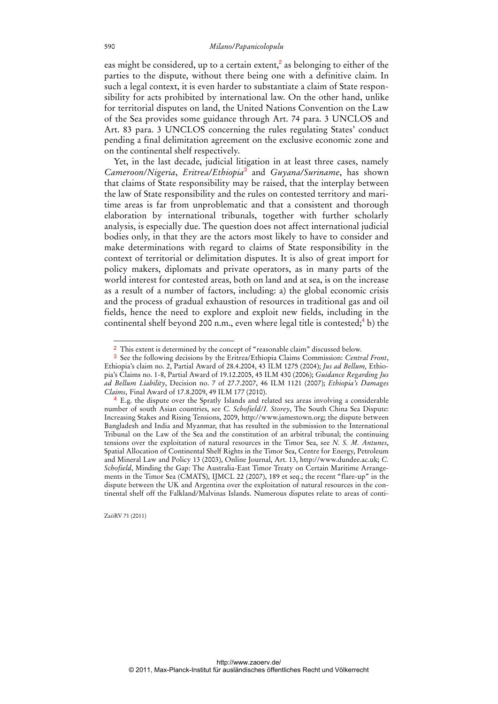eas might be considered, up to a certain extent, $\frac{2}{3}$  as belonging to either of the parties to the dispute, without there being one with a definitive claim. In such a legal context, it is even harder to substantiate a claim of State responsibility for acts prohibited by international law. On the other hand, unlike for territorial disputes on land, the United Nations Convention on the Law of the Sea provides some guidance through Art. 74 para. 3 UNCLOS and Art. 83 para. 3 UNCLOS concerning the rules regulating States' conduct pending a final delimitation agreement on the exclusive economic zone and on the continental shelf respectively.

Yet, in the last decade, judicial litigation in at least three cases, namely *Cameroon/Nigeria*, *Eritrea/Ethiopia*<sup>3</sup> and *Guyana/Suriname*, has shown that claims of State responsibility may be raised, that the interplay between the law of State responsibility and the rules on contested territory and maritime areas is far from unproblematic and that a consistent and thorough elaboration by international tribunals, together with further scholarly analysis, is especially due. The question does not affect international judicial bodies only, in that they are the actors most likely to have to consider and make determinations with regard to claims of State responsibility in the context of territorial or delimitation disputes. It is also of great import for policy makers, diplomats and private operators, as in many parts of the world interest for contested areas, both on land and at sea, is on the increase as a result of a number of factors, including: a) the global economic crisis and the process of gradual exhaustion of resources in traditional gas and oil fields, hence the need to explore and exploit new fields, including in the continental shelf beyond 200 n.m., even where legal title is contested;<sup>4</sup> b) the

ZaöRV 71 (2011)

<sup>2</sup> This extent is determined by the concept of "reasonable claim" discussed below.

<sup>3</sup> See the following decisions by the Eritrea/Ethiopia Claims Commission: *Central Front*, Ethiopia's claim no. 2, Partial Award of 28.4.2004, 43 ILM 1275 (2004); *Jus ad Bellum,* Ethiopia's Claims no. 1-8, Partial Award of 19.12.2005, 45 ILM 430 (2006); *Guidance Regarding Jus ad Bellum Liability*, Decision no. 7 of 27.7.2007, 46 ILM 1121 (2007); *Ethiopia's Damages Claims*, Final Award of 17.8.2009, 49 ILM 177 (2010).

<sup>4</sup> E.g. the dispute over the Spratly Islands and related sea areas involving a considerable number of south Asian countries, see *C. Schofield/I. Storey*, The South China Sea Dispute: Increasing Stakes and Rising Tensions, 2009, http://www.jamestown.org; the dispute between Bangladesh and India and Myanmar, that has resulted in the submission to the International Tribunal on the Law of the Sea and the constitution of an arbitral tribunal; the continuing tensions over the exploitation of natural resources in the Timor Sea, see *N. S. M. Antunes*, Spatial Allocation of Continental Shelf Rights in the Timor Sea, Centre for Energy, Petroleum and Mineral Law and Policy 13 (2003), Online Journal, Art. 13, http://www.dundee.ac.uk; *C. Schofield*, Minding the Gap: The Australia-East Timor Treaty on Certain Maritime Arrangements in the Timor Sea (CMATS), IJMCL 22 (2007), 189 et seq.; the recent "flare-up" in the dispute between the UK and Argentina over the exploitation of natural resources in the continental shelf off the Falkland/Malvinas Islands. Numerous disputes relate to areas of conti-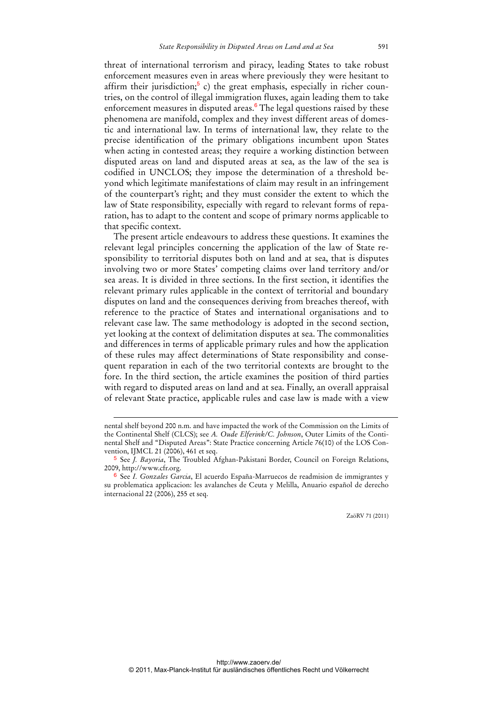threat of international terrorism and piracy, leading States to take robust enforcement measures even in areas where previously they were hesitant to affirm their jurisdiction;<sup>5</sup> c) the great emphasis, especially in richer countries, on the control of illegal immigration fluxes, again leading them to take enforcement measures in disputed areas.<sup>6</sup> The legal questions raised by these phenomena are manifold, complex and they invest different areas of domestic and international law. In terms of international law, they relate to the precise identification of the primary obligations incumbent upon States when acting in contested areas; they require a working distinction between disputed areas on land and disputed areas at sea, as the law of the sea is codified in UNCLOS; they impose the determination of a threshold beyond which legitimate manifestations of claim may result in an infringement of the counterpart's right; and they must consider the extent to which the law of State responsibility, especially with regard to relevant forms of reparation, has to adapt to the content and scope of primary norms applicable to that specific context.

The present article endeavours to address these questions. It examines the relevant legal principles concerning the application of the law of State responsibility to territorial disputes both on land and at sea, that is disputes involving two or more States' competing claims over land territory and/or sea areas. It is divided in three sections. In the first section, it identifies the relevant primary rules applicable in the context of territorial and boundary disputes on land and the consequences deriving from breaches thereof, with reference to the practice of States and international organisations and to relevant case law. The same methodology is adopted in the second section, yet looking at the context of delimitation disputes at sea. The commonalities and differences in terms of applicable primary rules and how the application of these rules may affect determinations of State responsibility and consequent reparation in each of the two territorial contexts are brought to the fore. In the third section, the article examines the position of third parties with regard to disputed areas on land and at sea. Finally, an overall appraisal of relevant State practice, applicable rules and case law is made with a view

-

nental shelf beyond 200 n.m. and have impacted the work of the Commission on the Limits of the Continental Shelf (CLCS); see *A. Oude Elferink/C. Johnson*, Outer Limits of the Continental Shelf and "Disputed Areas": State Practice concerning Article 76(10) of the LOS Convention, IJMCL 21 (2006), 461 et seq.

<sup>5</sup> See *J. Bayoria*, The Troubled Afghan-Pakistani Border, Council on Foreign Relations, 2009, http://www.cfr.org.

<sup>6</sup> See *I. Gonzales Garcia*, El acuerdo España-Marruecos de readmision de immigrantes y su problematica applicacion: les avalanches de Ceuta y Melilla, Anuario español de derecho internacional 22 (2006), 255 et seq.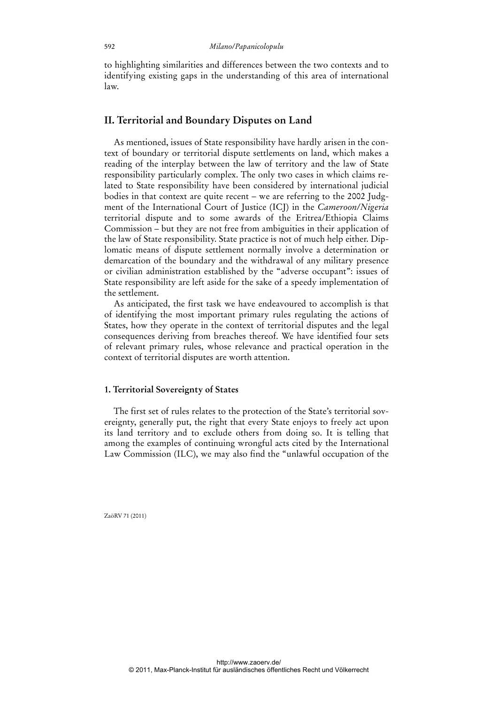to highlighting similarities and differences between the two contexts and to identifying existing gaps in the understanding of this area of international law.

## **II. Territorial and Boundary Disputes on Land**

As mentioned, issues of State responsibility have hardly arisen in the context of boundary or territorial dispute settlements on land, which makes a reading of the interplay between the law of territory and the law of State responsibility particularly complex. The only two cases in which claims related to State responsibility have been considered by international judicial bodies in that context are quite recent – we are referring to the 2002 Judgment of the International Court of Justice (ICJ) in the *Cameroon/Nigeria* territorial dispute and to some awards of the Eritrea/Ethiopia Claims Commission – but they are not free from ambiguities in their application of the law of State responsibility. State practice is not of much help either. Diplomatic means of dispute settlement normally involve a determination or demarcation of the boundary and the withdrawal of any military presence or civilian administration established by the "adverse occupant": issues of State responsibility are left aside for the sake of a speedy implementation of the settlement.

As anticipated, the first task we have endeavoured to accomplish is that of identifying the most important primary rules regulating the actions of States, how they operate in the context of territorial disputes and the legal consequences deriving from breaches thereof. We have identified four sets of relevant primary rules, whose relevance and practical operation in the context of territorial disputes are worth attention.

### **1. Territorial Sovereignty of States**

The first set of rules relates to the protection of the State's territorial sovereignty, generally put, the right that every State enjoys to freely act upon its land territory and to exclude others from doing so. It is telling that among the examples of continuing wrongful acts cited by the International Law Commission (ILC), we may also find the "unlawful occupation of the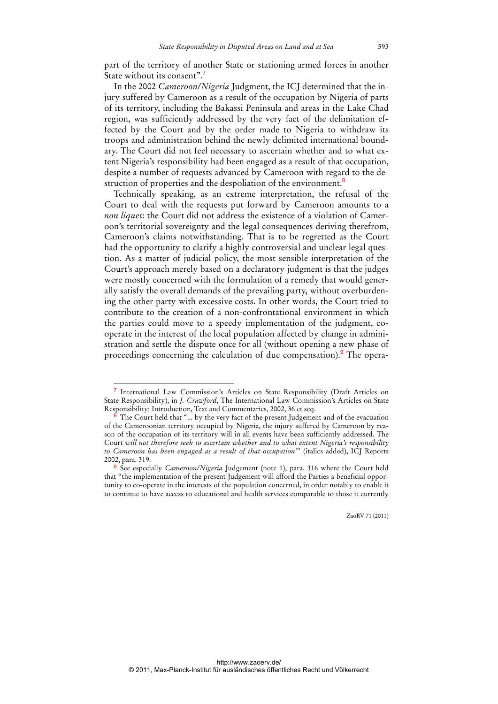part of the territory of another State or stationing armed forces in another State without its consent".<sup>7</sup>

In the 2002 *Cameroon/Nigeria* Judgment, the ICJ determined that the injury suffered by Cameroon as a result of the occupation by Nigeria of parts of its territory, including the Bakassi Peninsula and areas in the Lake Chad region, was sufficiently addressed by the very fact of the delimitation effected by the Court and by the order made to Nigeria to withdraw its troops and administration behind the newly delimited international boundary. The Court did not feel necessary to ascertain whether and to what extent Nigeria's responsibility had been engaged as a result of that occupation, despite a number of requests advanced by Cameroon with regard to the destruction of properties and the despoliation of the environment.<sup>8</sup>

Technically speaking, as an extreme interpretation, the refusal of the Court to deal with the requests put forward by Cameroon amounts to a *non liquet*: the Court did not address the existence of a violation of Cameroon's territorial sovereignty and the legal consequences deriving therefrom, Cameroon's claims notwithstanding. That is to be regretted as the Court had the opportunity to clarify a highly controversial and unclear legal question. As a matter of judicial policy, the most sensible interpretation of the Court's approach merely based on a declaratory judgment is that the judges were mostly concerned with the formulation of a remedy that would generally satisfy the overall demands of the prevailing party, without overburdening the other party with excessive costs. In other words, the Court tried to contribute to the creation of a non-confrontational environment in which the parties could move to a speedy implementation of the judgment, cooperate in the interest of the local population affected by change in administration and settle the dispute once for all (without opening a new phase of proceedings concerning the calculation of due compensation).<sup>9</sup> The opera-

 $\overline{a}$ 

<sup>7</sup> International Law Commission's Articles on State Responsibility (Draft Articles on State Responsibility), in *J. Crawford*, The International Law Commission's Articles on State Responsibility: Introduction, Text and Commentaries, 2002, 36 et seq.

The Court held that "... by the very fact of the present Judgement and of the evacuation of the Cameroonian territory occupied by Nigeria, the injury suffered by Cameroon by reason of the occupation of its territory will in all events have been sufficiently addressed. The Court *will not therefore seek to ascertain whether and to what extent Nigeria's responsibility to Cameroon has been engaged as a result of that occupation"*' (italics added), ICJ Reports 2002, para. 319.

<sup>9</sup> See especially *Cameroon/Nigeria* Judgement (note 1), para. 316 where the Court held that "the implementation of the present Judgement will afford the Parties a beneficial opportunity to co-operate in the interests of the population concerned, in order notably to enable it to continue to have access to educational and health services comparable to those it currently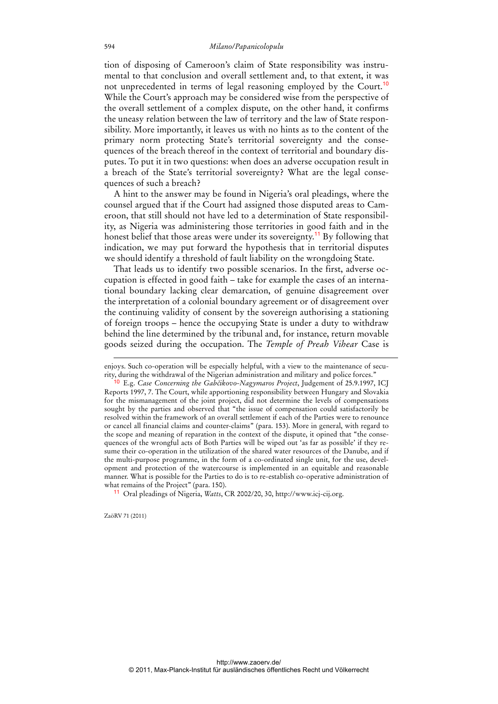tion of disposing of Cameroon's claim of State responsibility was instrumental to that conclusion and overall settlement and, to that extent, it was not unprecedented in terms of legal reasoning employed by the Court.<sup>10</sup> While the Court's approach may be considered wise from the perspective of the overall settlement of a complex dispute, on the other hand, it confirms the uneasy relation between the law of territory and the law of State responsibility. More importantly, it leaves us with no hints as to the content of the primary norm protecting State's territorial sovereignty and the consequences of the breach thereof in the context of territorial and boundary disputes. To put it in two questions: when does an adverse occupation result in a breach of the State's territorial sovereignty? What are the legal consequences of such a breach?

A hint to the answer may be found in Nigeria's oral pleadings, where the counsel argued that if the Court had assigned those disputed areas to Cameroon, that still should not have led to a determination of State responsibility, as Nigeria was administering those territories in good faith and in the honest belief that those areas were under its sovereignty.<sup>11</sup> By following that indication, we may put forward the hypothesis that in territorial disputes we should identify a threshold of fault liability on the wrongdoing State.

That leads us to identify two possible scenarios. In the first, adverse occupation is effected in good faith – take for example the cases of an international boundary lacking clear demarcation, of genuine disagreement over the interpretation of a colonial boundary agreement or of disagreement over the continuing validity of consent by the sovereign authorising a stationing of foreign troops – hence the occupying State is under a duty to withdraw behind the line determined by the tribunal and, for instance, return movable goods seized during the occupation. The *Temple of Preah Vihear* Case is

11 Oral pleadings of Nigeria, *Watts*, CR 2002/20, 30, http://www.icj-cij.org.

ZaöRV 71 (2011)

-

enjoys. Such co-operation will be especially helpful, with a view to the maintenance of security, during the withdrawal of the Nigerian administration and military and police forces."

<sup>10</sup> E.g. *Case Concerning the Gabčikovo-Nagymaros Project*, Judgement of 25.9.1997, ICJ Reports 1997, 7. The Court, while apportioning responsibility between Hungary and Slovakia for the mismanagement of the joint project, did not determine the levels of compensations sought by the parties and observed that "the issue of compensation could satisfactorily be resolved within the framework of an overall settlement if each of the Parties were to renounce or cancel all financial claims and counter-claims" (para. 153). More in general, with regard to the scope and meaning of reparation in the context of the dispute, it opined that "the consequences of the wrongful acts of Both Parties will be wiped out 'as far as possible' if they resume their co-operation in the utilization of the shared water resources of the Danube, and if the multi-purpose programme, in the form of a co-ordinated single unit, for the use, development and protection of the watercourse is implemented in an equitable and reasonable manner. What is possible for the Parties to do is to re-establish co-operative administration of what remains of the Project" (para. 150).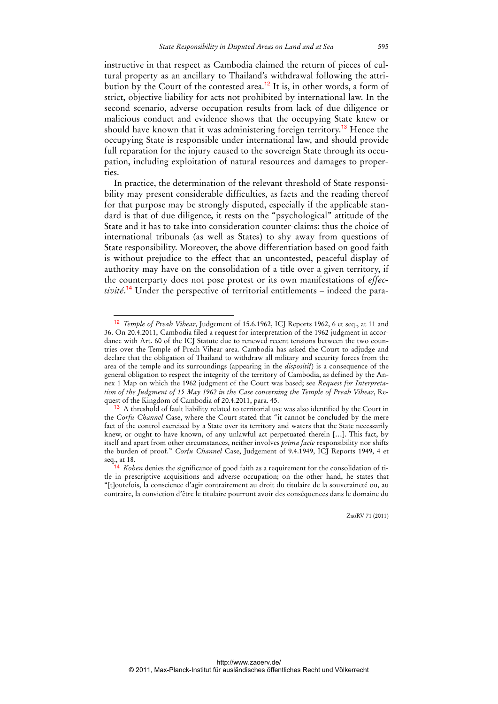instructive in that respect as Cambodia claimed the return of pieces of cultural property as an ancillary to Thailand's withdrawal following the attribution by the Court of the contested area.<sup>12</sup> It is, in other words, a form of strict, objective liability for acts not prohibited by international law. In the second scenario, adverse occupation results from lack of due diligence or malicious conduct and evidence shows that the occupying State knew or should have known that it was administering foreign territory.<sup>13</sup> Hence the occupying State is responsible under international law, and should provide full reparation for the injury caused to the sovereign State through its occupation, including exploitation of natural resources and damages to properties.

In practice, the determination of the relevant threshold of State responsibility may present considerable difficulties, as facts and the reading thereof for that purpose may be strongly disputed, especially if the applicable standard is that of due diligence, it rests on the "psychological" attitude of the State and it has to take into consideration counter-claims: thus the choice of international tribunals (as well as States) to shy away from questions of State responsibility. Moreover, the above differentiation based on good faith is without prejudice to the effect that an uncontested, peaceful display of authority may have on the consolidation of a title over a given territory, if the counterparty does not pose protest or its own manifestations of *effectivité*. <sup>14</sup> Under the perspective of territorial entitlements – indeed the para-

 $\ddot{ }$ 

<sup>12</sup> *Temple of Preah Vihear*, Judgement of 15.6.1962, ICJ Reports 1962, 6 et seq., at 11 and 36. On 20.4.2011, Cambodia filed a request for interpretation of the 1962 judgment in accordance with Art. 60 of the ICJ Statute due to renewed recent tensions between the two countries over the Temple of Preah Vihear area. Cambodia has asked the Court to adjudge and declare that the obligation of Thailand to withdraw all military and security forces from the area of the temple and its surroundings (appearing in the *dispositif*) is a consequence of the general obligation to respect the integrity of the territory of Cambodia, as defined by the Annex 1 Map on which the 1962 judgment of the Court was based; see *Request for Interpretation of the Judgment of 15 May 1962 in the Case concerning the Temple of Preah Vihear*, Request of the Kingdom of Cambodia of 20.4.2011, para. 45.

<sup>&</sup>lt;sup>13</sup> A threshold of fault liability related to territorial use was also identified by the Court in the *Corfu Channel* Case, where the Court stated that "it cannot be concluded by the mere fact of the control exercised by a State over its territory and waters that the State necessarily knew, or ought to have known, of any unlawful act perpetuated therein […]. This fact, by itself and apart from other circumstances, neither involves *prima facie* responsibility nor shifts the burden of proof." *Corfu Channel* Case, Judgement of 9.4.1949, ICJ Reports 1949, 4 et seq., at 18.

<sup>&</sup>lt;sup>14</sup> *Kohen* denies the significance of good faith as a requirement for the consolidation of title in prescriptive acquisitions and adverse occupation; on the other hand, he states that "[t]outefois, la conscience d'agir contrairement au droit du titulaire de la souveraineté ou, au contraire, la conviction d'être le titulaire pourront avoir des conséquences dans le domaine du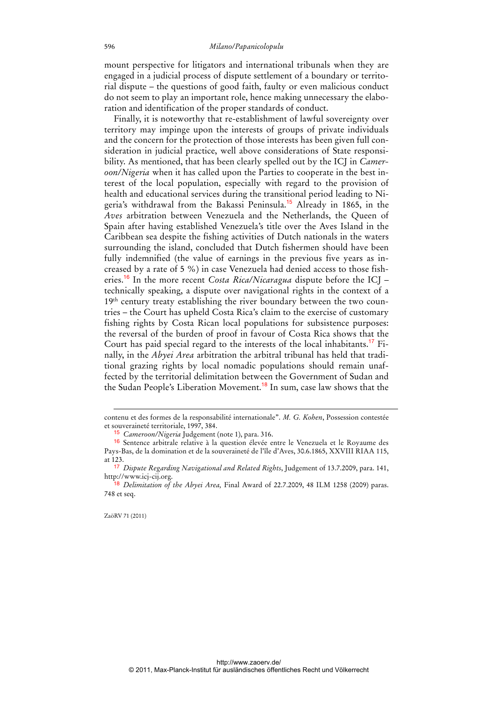mount perspective for litigators and international tribunals when they are engaged in a judicial process of dispute settlement of a boundary or territorial dispute – the questions of good faith, faulty or even malicious conduct do not seem to play an important role, hence making unnecessary the elaboration and identification of the proper standards of conduct.

Finally, it is noteworthy that re-establishment of lawful sovereignty over territory may impinge upon the interests of groups of private individuals and the concern for the protection of those interests has been given full consideration in judicial practice, well above considerations of State responsibility. As mentioned, that has been clearly spelled out by the ICJ in *Cameroon/Nigeria* when it has called upon the Parties to cooperate in the best interest of the local population, especially with regard to the provision of health and educational services during the transitional period leading to Nigeria's withdrawal from the Bakassi Peninsula.<sup>15</sup> Already in 1865, in the *Aves* arbitration between Venezuela and the Netherlands, the Queen of Spain after having established Venezuela's title over the Aves Island in the Caribbean sea despite the fishing activities of Dutch nationals in the waters surrounding the island, concluded that Dutch fishermen should have been fully indemnified (the value of earnings in the previous five years as increased by a rate of 5 %) in case Venezuela had denied access to those fisheries.<sup>16</sup> In the more recent *Costa Rica/Nicaragua* dispute before the ICJ – technically speaking, a dispute over navigational rights in the context of a 19<sup>th</sup> century treaty establishing the river boundary between the two countries – the Court has upheld Costa Rica's claim to the exercise of customary fishing rights by Costa Rican local populations for subsistence purposes: the reversal of the burden of proof in favour of Costa Rica shows that the Court has paid special regard to the interests of the local inhabitants.17 Finally, in the *Abyei Area* arbitration the arbitral tribunal has held that traditional grazing rights by local nomadic populations should remain unaffected by the territorial delimitation between the Government of Sudan and the Sudan People's Liberation Movement.<sup>18</sup> In sum, case law shows that the

-

contenu et des formes de la responsabilité internationale". *M. G. Kohen*, Possession contestée et souveraineté territoriale, 1997, 384.

<sup>15</sup> *Cameroon/Nigeria* Judgement (note 1), para. 316.

<sup>16</sup> Sentence arbitrale relative à la question élevée entre le Venezuela et le Royaume des Pays-Bas, de la domination et de la souveraineté de l'île d'Aves, 30.6.1865, XXVIII RIAA 115, at 123.

<sup>17</sup> *Dispute Regarding Navigational and Related Rights*, Judgement of 13.7.2009, para. 141, http://www.icj-cij.org.

<sup>18</sup> *Delimitation of the Abyei Area,* Final Award of 22.7.2009, 48 ILM 1258 (2009) paras. 748 et seq.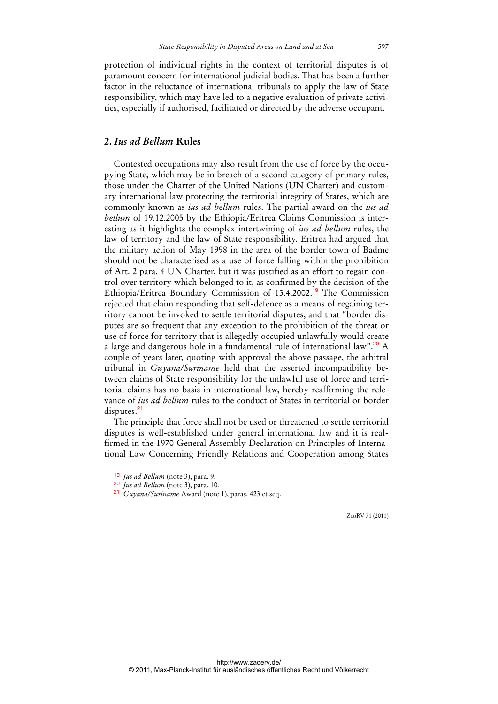protection of individual rights in the context of territorial disputes is of paramount concern for international judicial bodies. That has been a further factor in the reluctance of international tribunals to apply the law of State responsibility, which may have led to a negative evaluation of private activities, especially if authorised, facilitated or directed by the adverse occupant.

## **2.** *Ius ad Bellum* **Rules**

Contested occupations may also result from the use of force by the occupying State, which may be in breach of a second category of primary rules, those under the Charter of the United Nations (UN Charter) and customary international law protecting the territorial integrity of States, which are commonly known as *ius ad bellum* rules. The partial award on the *ius ad bellum* of 19.12.2005 by the Ethiopia/Eritrea Claims Commission is interesting as it highlights the complex intertwining of *ius ad bellum* rules, the law of territory and the law of State responsibility. Eritrea had argued that the military action of May 1998 in the area of the border town of Badme should not be characterised as a use of force falling within the prohibition of Art. 2 para. 4 UN Charter, but it was justified as an effort to regain control over territory which belonged to it, as confirmed by the decision of the Ethiopia/Eritrea Boundary Commission of 13.4.2002.<sup>19</sup> The Commission rejected that claim responding that self-defence as a means of regaining territory cannot be invoked to settle territorial disputes, and that "border disputes are so frequent that any exception to the prohibition of the threat or use of force for territory that is allegedly occupied unlawfully would create a large and dangerous hole in a fundamental rule of international law".<sup>20</sup> A couple of years later, quoting with approval the above passage, the arbitral tribunal in *Guyana/Suriname* held that the asserted incompatibility between claims of State responsibility for the unlawful use of force and territorial claims has no basis in international law, hereby reaffirming the relevance of *ius ad bellum* rules to the conduct of States in territorial or border disputes.<sup>21</sup>

The principle that force shall not be used or threatened to settle territorial disputes is well-established under general international law and it is reaffirmed in the 1970 General Assembly Declaration on Principles of International Law Concerning Friendly Relations and Cooperation among States

 $\overline{a}$ 

<sup>19</sup> *Jus ad Bellum* (note 3), para. 9.

<sup>20</sup> *Jus ad Bellum* (note 3), para. 10.

<sup>21</sup> *Guyana/Suriname* Award (note 1), paras. 423 et seq.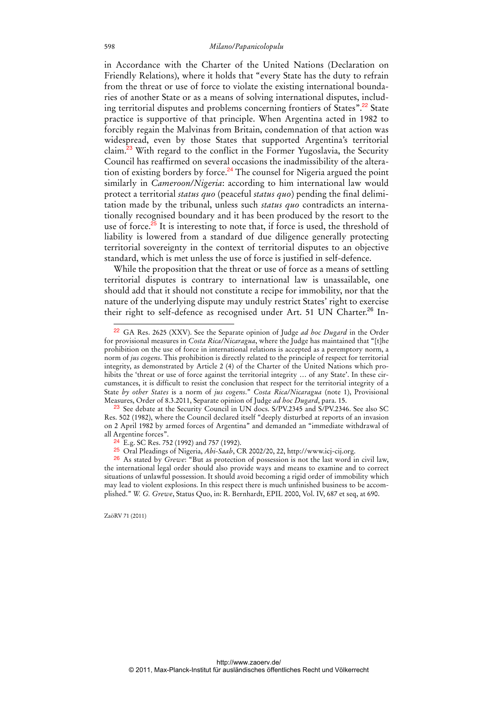in Accordance with the Charter of the United Nations (Declaration on Friendly Relations), where it holds that "every State has the duty to refrain from the threat or use of force to violate the existing international boundaries of another State or as a means of solving international disputes, including territorial disputes and problems concerning frontiers of States".<sup>22</sup> State practice is supportive of that principle. When Argentina acted in 1982 to forcibly regain the Malvinas from Britain, condemnation of that action was widespread, even by those States that supported Argentina's territorial claim.<sup>23</sup> With regard to the conflict in the Former Yugoslavia, the Security Council has reaffirmed on several occasions the inadmissibility of the alteration of existing borders by force.<sup>24</sup> The counsel for Nigeria argued the point similarly in *Cameroon/Nigeria*: according to him international law would protect a territorial *status quo* (peaceful *status quo*) pending the final delimitation made by the tribunal, unless such *status quo* contradicts an internationally recognised boundary and it has been produced by the resort to the use of force.<sup>25</sup> It is interesting to note that, if force is used, the threshold of liability is lowered from a standard of due diligence generally protecting territorial sovereignty in the context of territorial disputes to an objective standard, which is met unless the use of force is justified in self-defence.

While the proposition that the threat or use of force as a means of settling territorial disputes is contrary to international law is unassailable, one should add that it should not constitute a recipe for immobility, nor that the nature of the underlying dispute may unduly restrict States' right to exercise their right to self-defence as recognised under Art. 51 UN Charter.<sup>26</sup> In-

<sup>22</sup> GA Res. 2625 (XXV). See the Separate opinion of Judge *ad hoc Dugard* in the Order for provisional measures in *Costa Rica/Nicaragua*, where the Judge has maintained that "[t]he prohibition on the use of force in international relations is accepted as a peremptory norm, a norm of *jus cogens*. This prohibition is directly related to the principle of respect for territorial integrity, as demonstrated by Article 2 (4) of the Charter of the United Nations which prohibits the 'threat or use of force against the territorial integrity ... of any State'. In these circumstances, it is difficult to resist the conclusion that respect for the territorial integrity of a State *by other States* is a norm of *jus cogens*." *Costa Rica/Nicaragua* (note 1), Provisional Measures, Order of 8.3.2011, Separate opinion of Judge *ad hoc Dugard*, para. 15.

<sup>&</sup>lt;sup>23</sup> See debate at the Security Council in UN docs. S/PV.2345 and S/PV.2346. See also SC Res. 502 (1982), where the Council declared itself "deeply disturbed at reports of an invasion on 2 April 1982 by armed forces of Argentina" and demanded an "immediate withdrawal of all Argentine forces".

<sup>24</sup> E.g. SC Res. 752 (1992) and 757 (1992).

<sup>25</sup> Oral Pleadings of Nigeria, *Abi-Saab*, CR 2002/20, 22, http://www.icj-cij.org.

<sup>26</sup> As stated by *Grewe*: "But as protection of possession is not the last word in civil law, the international legal order should also provide ways and means to examine and to correct situations of unlawful possession. It should avoid becoming a rigid order of immobility which may lead to violent explosions. In this respect there is much unfinished business to be accomplished." *W. G. Grewe*, Status Quo, in: R. Bernhardt, EPIL 2000, Vol. IV, 687 et seq, at 690.

ZaöRV 71 (2011)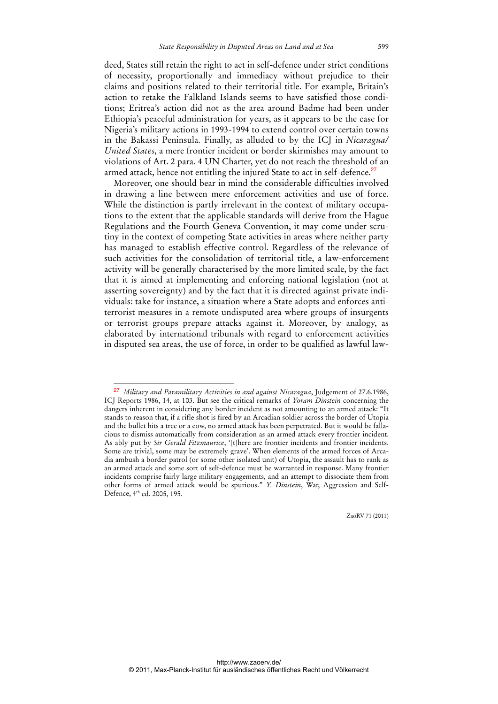deed, States still retain the right to act in self-defence under strict conditions of necessity, proportionally and immediacy without prejudice to their claims and positions related to their territorial title. For example, Britain's action to retake the Falkland Islands seems to have satisfied those conditions; Eritrea's action did not as the area around Badme had been under Ethiopia's peaceful administration for years, as it appears to be the case for Nigeria's military actions in 1993-1994 to extend control over certain towns in the Bakassi Peninsula. Finally, as alluded to by the ICJ in *Nicaragua/ United States*, a mere frontier incident or border skirmishes may amount to violations of Art. 2 para. 4 UN Charter, yet do not reach the threshold of an armed attack, hence not entitling the injured State to act in self-defence.<sup>27</sup>

Moreover, one should bear in mind the considerable difficulties involved in drawing a line between mere enforcement activities and use of force. While the distinction is partly irrelevant in the context of military occupations to the extent that the applicable standards will derive from the Hague Regulations and the Fourth Geneva Convention, it may come under scrutiny in the context of competing State activities in areas where neither party has managed to establish effective control. Regardless of the relevance of such activities for the consolidation of territorial title, a law-enforcement activity will be generally characterised by the more limited scale, by the fact that it is aimed at implementing and enforcing national legislation (not at asserting sovereignty) and by the fact that it is directed against private individuals: take for instance, a situation where a State adopts and enforces antiterrorist measures in a remote undisputed area where groups of insurgents or terrorist groups prepare attacks against it. Moreover, by analogy, as elaborated by international tribunals with regard to enforcement activities in disputed sea areas, the use of force, in order to be qualified as lawful law-

 $\overline{a}$ 

<sup>27</sup> *Military and Paramilitary Activities in and against Nicaragua*, Judgement of 27.6.1986, ICJ Reports 1986, 14, at 103. But see the critical remarks of *Yoram Dinstein* concerning the dangers inherent in considering any border incident as not amounting to an armed attack: "It stands to reason that, if a rifle shot is fired by an Arcadian soldier across the border of Utopia and the bullet hits a tree or a cow, no armed attack has been perpetrated. But it would be fallacious to dismiss automatically from consideration as an armed attack every frontier incident. As ably put by *Sir Gerald Fitzmaurice*, '[t]here are frontier incidents and frontier incidents. Some are trivial, some may be extremely grave'. When elements of the armed forces of Arcadia ambush a border patrol (or some other isolated unit) of Utopia, the assault has to rank as an armed attack and some sort of self-defence must be warranted in response. Many frontier incidents comprise fairly large military engagements, and an attempt to dissociate them from other forms of armed attack would be spurious." *Y. Dinstein*, War, Aggression and Self-Defence, 4th ed. 2005, 195.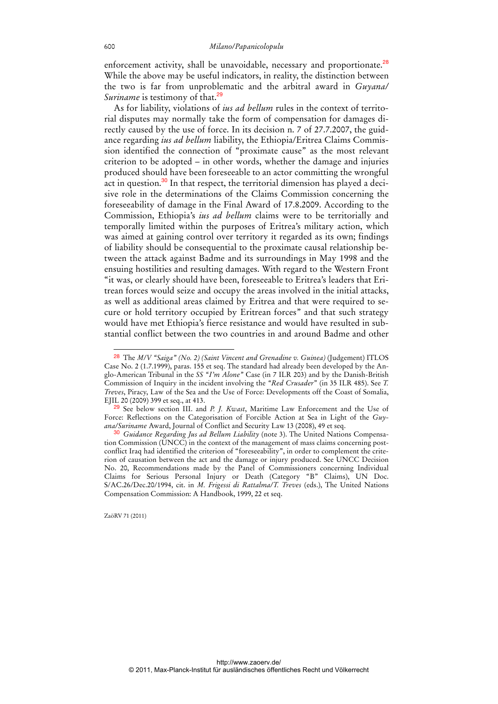enforcement activity, shall be unavoidable, necessary and proportionate.<sup>28</sup> While the above may be useful indicators, in reality, the distinction between the two is far from unproblematic and the arbitral award in *Guyana/ Suriname* is testimony of that.<sup>29</sup>

As for liability, violations of *ius ad bellum* rules in the context of territorial disputes may normally take the form of compensation for damages directly caused by the use of force. In its decision n. 7 of 27.7.2007, the guidance regarding *ius ad bellum* liability, the Ethiopia/Eritrea Claims Commission identified the connection of "proximate cause" as the most relevant criterion to be adopted – in other words, whether the damage and injuries produced should have been foreseeable to an actor committing the wrongful act in question. $30$  In that respect, the territorial dimension has played a decisive role in the determinations of the Claims Commission concerning the foreseeability of damage in the Final Award of 17.8.2009. According to the Commission, Ethiopia's *ius ad bellum* claims were to be territorially and temporally limited within the purposes of Eritrea's military action, which was aimed at gaining control over territory it regarded as its own; findings of liability should be consequential to the proximate causal relationship between the attack against Badme and its surroundings in May 1998 and the ensuing hostilities and resulting damages. With regard to the Western Front "it was, or clearly should have been, foreseeable to Eritrea's leaders that Eritrean forces would seize and occupy the areas involved in the initial attacks, as well as additional areas claimed by Eritrea and that were required to secure or hold territory occupied by Eritrean forces" and that such strategy would have met Ethiopia's fierce resistance and would have resulted in substantial conflict between the two countries in and around Badme and other

ZaöRV 71 (2011)

<sup>28</sup> The *M/V "Saiga" (No. 2) (Saint Vincent and Grenadine v. Guinea)* (Judgement) ITLOS Case No. 2 (1.7.1999), paras. 155 et seq. The standard had already been developed by the Anglo-American Tribunal in the *SS "I'm Alone"* Case (in 7 ILR 203) and by the Danish-British Commission of Inquiry in the incident involving the *"Red Crusader*" (in 35 ILR 485). See *T. Treves*, Piracy, Law of the Sea and the Use of Force: Developments off the Coast of Somalia, EJIL 20 (2009) 399 et seq., at 413.

<sup>29</sup> See below section III. and *P. J. Kwast*, Maritime Law Enforcement and the Use of Force: Reflections on the Categorisation of Forcible Action at Sea in Light of the *Guyana/Suriname* Award, Journal of Conflict and Security Law 13 (2008), 49 et seq.

<sup>30</sup> *Guidance Regarding Jus ad Bellum Liability* (note 3). The United Nations Compensation Commission (UNCC) in the context of the management of mass claims concerning postconflict Iraq had identified the criterion of "foreseeability", in order to complement the criterion of causation between the act and the damage or injury produced. See UNCC Decision No. 20, Recommendations made by the Panel of Commissioners concerning Individual Claims for Serious Personal Injury or Death (Category "B" Claims), UN Doc. S/AC.26/Dec.20/1994, cit. in *M. Frigessi di Rattalma/T. Treves* (eds.), The United Nations Compensation Commission: A Handbook, 1999, 22 et seq.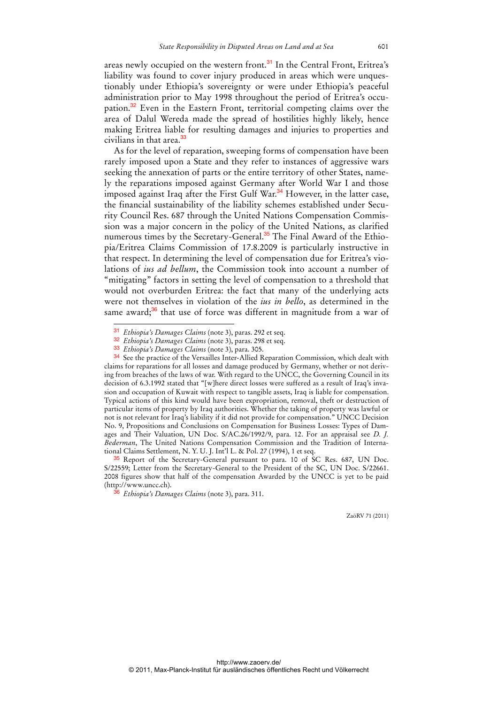areas newly occupied on the western front.<sup>31</sup> In the Central Front, Eritrea's liability was found to cover injury produced in areas which were unquestionably under Ethiopia's sovereignty or were under Ethiopia's peaceful administration prior to May 1998 throughout the period of Eritrea's occupation.<sup>32</sup> Even in the Eastern Front, territorial competing claims over the area of Dalul Wereda made the spread of hostilities highly likely, hence making Eritrea liable for resulting damages and injuries to properties and civilians in that area.<sup>33</sup>

As for the level of reparation, sweeping forms of compensation have been rarely imposed upon a State and they refer to instances of aggressive wars seeking the annexation of parts or the entire territory of other States, namely the reparations imposed against Germany after World War I and those imposed against Iraq after the First Gulf War.<sup>34</sup> However, in the latter case, the financial sustainability of the liability schemes established under Security Council Res. 687 through the United Nations Compensation Commission was a major concern in the policy of the United Nations, as clarified numerous times by the Secretary-General.<sup>35</sup> The Final Award of the Ethiopia/Eritrea Claims Commission of 17.8.2009 is particularly instructive in that respect. In determining the level of compensation due for Eritrea's violations of *ius ad bellum*, the Commission took into account a number of "mitigating" factors in setting the level of compensation to a threshold that would not overburden Eritrea: the fact that many of the underlying acts were not themselves in violation of the *ius in bello*, as determined in the same award; $36$  that use of force was different in magnitude from a war of

 $\overline{a}$ 

<sup>31</sup> *Ethiopia's Damages Claims* (note 3), paras. 292 et seq.

<sup>32</sup> *Ethiopia's Damages Claims* (note 3), paras. 298 et seq.

<sup>33</sup> *Ethiopia's Damages Claims* (note 3), para. 305.

<sup>34</sup> See the practice of the Versailles Inter-Allied Reparation Commission, which dealt with claims for reparations for all losses and damage produced by Germany, whether or not deriving from breaches of the laws of war. With regard to the UNCC, the Governing Council in its decision of 6.3.1992 stated that "[w]here direct losses were suffered as a result of Iraq's invasion and occupation of Kuwait with respect to tangible assets, Iraq is liable for compensation. Typical actions of this kind would have been expropriation, removal, theft or destruction of particular items of property by Iraq authorities. Whether the taking of property was lawful or not is not relevant for Iraq's liability if it did not provide for compensation." UNCC Decision No. 9, Propositions and Conclusions on Compensation for Business Losses: Types of Damages and Their Valuation, UN Doc. S/AC.26/1992/9, para. 12. For an appraisal see *D. J. Bederman*, The United Nations Compensation Commission and the Tradition of International Claims Settlement, N. Y. U. J. Int'l L. & Pol. 27 (1994), 1 et seq.

<sup>&</sup>lt;sup>35</sup> Report of the Secretary-General pursuant to para. 10 of SC Res. 687, UN Doc. S/22559; Letter from the Secretary-General to the President of the SC, UN Doc. S/22661. 2008 figures show that half of the compensation Awarded by the UNCC is yet to be paid (http://www.uncc.ch).

<sup>36</sup> *Ethiopia's Damages Claims* (note 3), para. 311.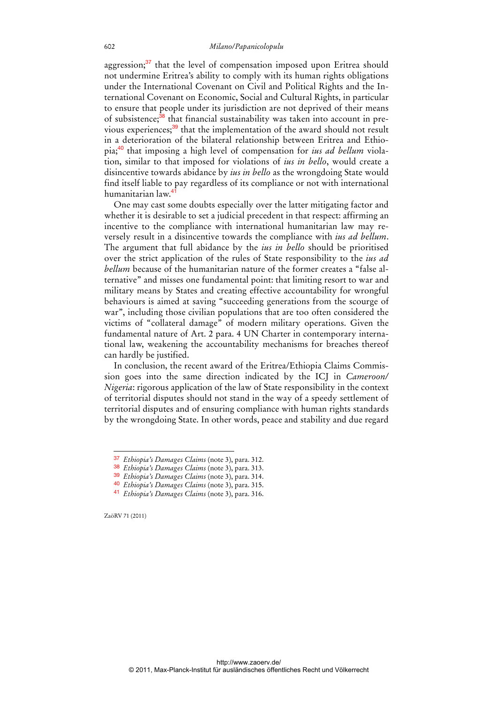aggression; $37$  that the level of compensation imposed upon Eritrea should not undermine Eritrea's ability to comply with its human rights obligations under the International Covenant on Civil and Political Rights and the International Covenant on Economic, Social and Cultural Rights, in particular to ensure that people under its jurisdiction are not deprived of their means of subsistence;<sup>38</sup> that financial sustainability was taken into account in previous experiences;<sup>39</sup> that the implementation of the award should not result in a deterioration of the bilateral relationship between Eritrea and Ethiopia;40 that imposing a high level of compensation for *ius ad bellum* violation, similar to that imposed for violations of *ius in bello*, would create a disincentive towards abidance by *ius in bello* as the wrongdoing State would find itself liable to pay regardless of its compliance or not with international humanitarian law.<sup>4</sup>

One may cast some doubts especially over the latter mitigating factor and whether it is desirable to set a judicial precedent in that respect: affirming an incentive to the compliance with international humanitarian law may reversely result in a disincentive towards the compliance with *ius ad bellum*. The argument that full abidance by the *ius in bello* should be prioritised over the strict application of the rules of State responsibility to the *ius ad bellum* because of the humanitarian nature of the former creates a "false alternative" and misses one fundamental point: that limiting resort to war and military means by States and creating effective accountability for wrongful behaviours is aimed at saving "succeeding generations from the scourge of war", including those civilian populations that are too often considered the victims of "collateral damage" of modern military operations. Given the fundamental nature of Art. 2 para. 4 UN Charter in contemporary international law, weakening the accountability mechanisms for breaches thereof can hardly be justified.

In conclusion, the recent award of the Eritrea/Ethiopia Claims Commission goes into the same direction indicated by the ICJ in *Cameroon/ Nigeria*: rigorous application of the law of State responsibility in the context of territorial disputes should not stand in the way of a speedy settlement of territorial disputes and of ensuring compliance with human rights standards by the wrongdoing State. In other words, peace and stability and due regard

ZaöRV 71 (2011)

<sup>37</sup> *Ethiopia's Damages Claims* (note 3), para. 312.

<sup>38</sup> *Ethiopia's Damages Claims* (note 3), para. 313.

<sup>39</sup> *Ethiopia's Damages Claims* (note 3), para. 314.

<sup>40</sup> *Ethiopia's Damages Claims* (note 3), para. 315.

<sup>41</sup> *Ethiopia's Damages Claims* (note 3), para. 316.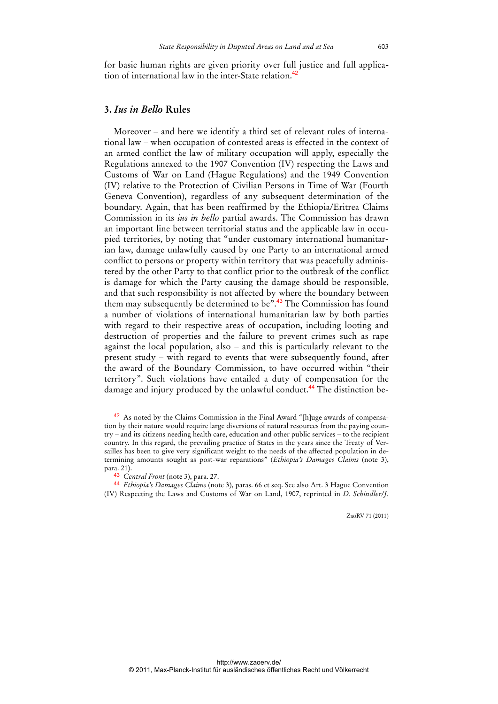for basic human rights are given priority over full justice and full application of international law in the inter-State relation.<sup>42</sup>

## **3.** *Ius in Bello* **Rules**

Moreover – and here we identify a third set of relevant rules of international law – when occupation of contested areas is effected in the context of an armed conflict the law of military occupation will apply, especially the Regulations annexed to the 1907 Convention (IV) respecting the Laws and Customs of War on Land (Hague Regulations) and the 1949 Convention (IV) relative to the Protection of Civilian Persons in Time of War (Fourth Geneva Convention), regardless of any subsequent determination of the boundary. Again, that has been reaffirmed by the Ethiopia/Eritrea Claims Commission in its *ius in bello* partial awards. The Commission has drawn an important line between territorial status and the applicable law in occupied territories, by noting that "under customary international humanitarian law, damage unlawfully caused by one Party to an international armed conflict to persons or property within territory that was peacefully administered by the other Party to that conflict prior to the outbreak of the conflict is damage for which the Party causing the damage should be responsible, and that such responsibility is not affected by where the boundary between them may subsequently be determined to be".<sup>43</sup> The Commission has found a number of violations of international humanitarian law by both parties with regard to their respective areas of occupation, including looting and destruction of properties and the failure to prevent crimes such as rape against the local population, also – and this is particularly relevant to the present study – with regard to events that were subsequently found, after the award of the Boundary Commission, to have occurred within "their territory". Such violations have entailed a duty of compensation for the damage and injury produced by the unlawful conduct.<sup>44</sup> The distinction be-

<sup>42</sup> As noted by the Claims Commission in the Final Award "[h]uge awards of compensation by their nature would require large diversions of natural resources from the paying country – and its citizens needing health care, education and other public services – to the recipient country. In this regard, the prevailing practice of States in the years since the Treaty of Versailles has been to give very significant weight to the needs of the affected population in determining amounts sought as post-war reparations" (*Ethiopia's Damages Claims* (note 3), para. 21).

<sup>43</sup> *Central Front* (note 3), para. 27.

<sup>44</sup> *Ethiopia's Damages Claims* (note 3), paras. 66 et seq. See also Art. 3 Hague Convention (IV) Respecting the Laws and Customs of War on Land, 1907, reprinted in *D. Schindler/J.*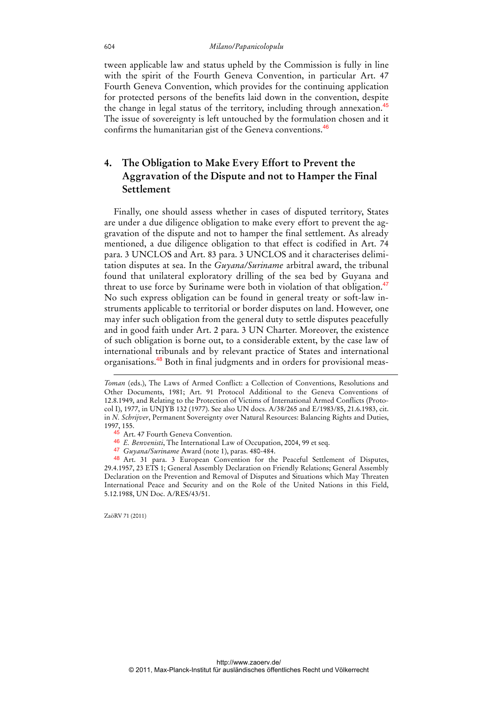#### 604 *Milano/Papanicolopulu*

tween applicable law and status upheld by the Commission is fully in line with the spirit of the Fourth Geneva Convention, in particular Art. 47 Fourth Geneva Convention, which provides for the continuing application for protected persons of the benefits laid down in the convention, despite the change in legal status of the territory, including through annexation.<sup>45</sup> The issue of sovereignty is left untouched by the formulation chosen and it confirms the humanitarian gist of the Geneva conventions.<sup>46</sup>

## **4. The Obligation to Make Every Effort to Prevent the Aggravation of the Dispute and not to Hamper the Final Settlement**

Finally, one should assess whether in cases of disputed territory, States are under a due diligence obligation to make every effort to prevent the aggravation of the dispute and not to hamper the final settlement. As already mentioned, a due diligence obligation to that effect is codified in Art. 74 para. 3 UNCLOS and Art. 83 para. 3 UNCLOS and it characterises delimitation disputes at sea. In the *Guyana/Suriname* arbitral award, the tribunal found that unilateral exploratory drilling of the sea bed by Guyana and threat to use force by Suriname were both in violation of that obligation.<sup>47</sup> No such express obligation can be found in general treaty or soft-law instruments applicable to territorial or border disputes on land. However, one may infer such obligation from the general duty to settle disputes peacefully and in good faith under Art. 2 para. 3 UN Charter. Moreover, the existence of such obligation is borne out, to a considerable extent, by the case law of international tribunals and by relevant practice of States and international organisations.<sup>48</sup> Both in final judgments and in orders for provisional meas-

- 46 *E. Benvenisti*, The International Law of Occupation, 2004, 99 et seq.
- 47 *Guyana/Suriname* Award (note 1), paras. 480-484.

48 Art. 31 para. 3 European Convention for the Peaceful Settlement of Disputes, 29.4.1957, 23 ETS 1; General Assembly Declaration on Friendly Relations; General Assembly Declaration on the Prevention and Removal of Disputes and Situations which May Threaten International Peace and Security and on the Role of the United Nations in this Field, 5.12.1988, UN Doc. A/RES/43/51.

ZaöRV 71 (2011)

-

*Toman* (eds.), The Laws of Armed Conflict: a Collection of Conventions, Resolutions and Other Documents, 1981; Art. 91 Protocol Additional to the Geneva Conventions of 12.8.1949, and Relating to the Protection of Victims of International Armed Conflicts (Protocol I), 1977, in UNJYB 132 (1977). See also UN docs. A/38/265 and E/1983/85, 21.6.1983, cit. in *N. Schrijver*, Permanent Sovereignty over Natural Resources: Balancing Rights and Duties, 1997, 155.

<sup>45</sup> Art. 47 Fourth Geneva Convention.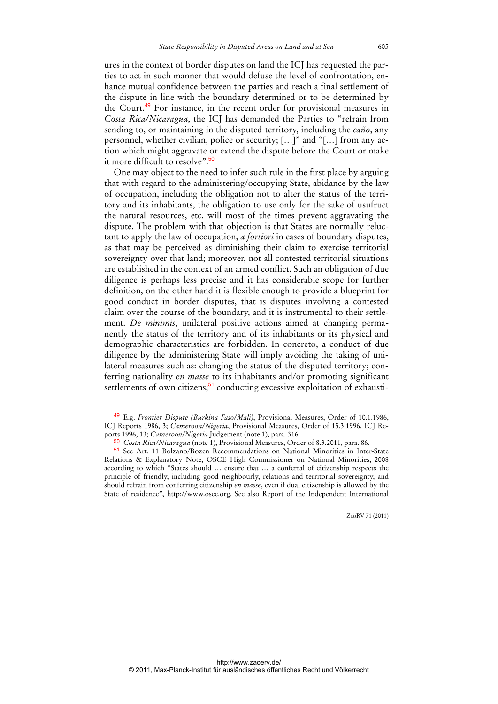ures in the context of border disputes on land the ICJ has requested the parties to act in such manner that would defuse the level of confrontation, enhance mutual confidence between the parties and reach a final settlement of the dispute in line with the boundary determined or to be determined by the Court.<sup>49</sup> For instance, in the recent order for provisional measures in *Costa Rica/Nicaragua*, the ICJ has demanded the Parties to "refrain from sending to, or maintaining in the disputed territory, including the *caño*, any personnel, whether civilian, police or security; […]" and "[…] from any action which might aggravate or extend the dispute before the Court or make it more difficult to resolve".<sup>50</sup>

One may object to the need to infer such rule in the first place by arguing that with regard to the administering/occupying State, abidance by the law of occupation, including the obligation not to alter the status of the territory and its inhabitants, the obligation to use only for the sake of usufruct the natural resources, etc. will most of the times prevent aggravating the dispute. The problem with that objection is that States are normally reluctant to apply the law of occupation, *a fortiori* in cases of boundary disputes, as that may be perceived as diminishing their claim to exercise territorial sovereignty over that land; moreover, not all contested territorial situations are established in the context of an armed conflict. Such an obligation of due diligence is perhaps less precise and it has considerable scope for further definition, on the other hand it is flexible enough to provide a blueprint for good conduct in border disputes, that is disputes involving a contested claim over the course of the boundary, and it is instrumental to their settlement. *De minimis*, unilateral positive actions aimed at changing permanently the status of the territory and of its inhabitants or its physical and demographic characteristics are forbidden. In concreto, a conduct of due diligence by the administering State will imply avoiding the taking of unilateral measures such as: changing the status of the disputed territory; conferring nationality *en masse* to its inhabitants and/or promoting significant settlements of own citizens;<sup>51</sup> conducting excessive exploitation of exhausti-

<sup>49</sup> E.g. *Frontier Dispute (Burkina Faso/Mali)*, Provisional Measures, Order of 10.1.1986, ICJ Reports 1986, 3; *Cameroon/Nigeria*, Provisional Measures, Order of 15.3.1996, ICJ Reports 1996, 13; *Cameroon/Nigeria* Judgement (note 1), para. 316.

<sup>50</sup> *Costa Rica/Nicaragua* (note 1), Provisional Measures, Order of 8.3.2011, para. 86.

<sup>51</sup> See Art. 11 Bolzano/Bozen Recommendations on National Minorities in Inter-State Relations & Explanatory Note, OSCE High Commissioner on National Minorities, 2008 according to which "States should … ensure that … a conferral of citizenship respects the principle of friendly, including good neighbourly, relations and territorial sovereignty, and should refrain from conferring citizenship *en masse*, even if dual citizenship is allowed by the State of residence", http://www.osce.org. See also Report of the Independent International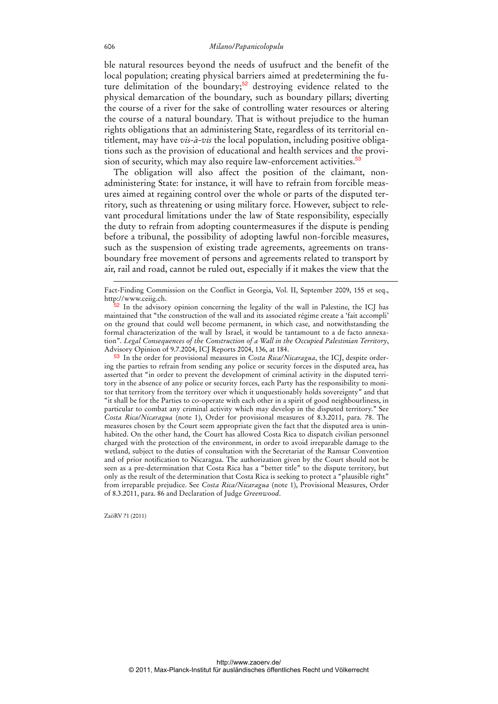ble natural resources beyond the needs of usufruct and the benefit of the local population; creating physical barriers aimed at predetermining the future delimitation of the boundary;<sup>52</sup> destroying evidence related to the physical demarcation of the boundary, such as boundary pillars; diverting the course of a river for the sake of controlling water resources or altering the course of a natural boundary. That is without prejudice to the human rights obligations that an administering State, regardless of its territorial entitlement, may have *vis-à-vis* the local population, including positive obligations such as the provision of educational and health services and the provision of security, which may also require law-enforcement activities.<sup>53</sup>

The obligation will also affect the position of the claimant, nonadministering State: for instance, it will have to refrain from forcible measures aimed at regaining control over the whole or parts of the disputed territory, such as threatening or using military force. However, subject to relevant procedural limitations under the law of State responsibility, especially the duty to refrain from adopting countermeasures if the dispute is pending before a tribunal, the possibility of adopting lawful non-forcible measures, such as the suspension of existing trade agreements, agreements on transboundary free movement of persons and agreements related to transport by air, rail and road, cannot be ruled out, especially if it makes the view that the

53 In the order for provisional measures in *Costa Rica/Nicaragua*, the ICJ, despite ordering the parties to refrain from sending any police or security forces in the disputed area, has asserted that "in order to prevent the development of criminal activity in the disputed territory in the absence of any police or security forces, each Party has the responsibility to monitor that territory from the territory over which it unquestionably holds sovereignty" and that "it shall be for the Parties to co-operate with each other in a spirit of good neighbourliness, in particular to combat any criminal activity which may develop in the disputed territory." See *Costa Rica/Nicaragua* (note 1), Order for provisional measures of 8.3.2011, para. 78. The measures chosen by the Court seem appropriate given the fact that the disputed area is uninhabited. On the other hand, the Court has allowed Costa Rica to dispatch civilian personnel charged with the protection of the environment, in order to avoid irreparable damage to the wetland, subject to the duties of consultation with the Secretariat of the Ramsar Convention and of prior notification to Nicaragua. The authorization given by the Court should not be seen as a pre-determination that Costa Rica has a "better title" to the dispute territory, but only as the result of the determination that Costa Rica is seeking to protect a "plausible right" from irreparable prejudice. See *Costa Rica/Nicaragua* (note 1), Provisional Measures, Order of 8.3.2011, para. 86 and Declaration of Judge *Greenwood*.

ZaöRV 71 (2011)

-

Fact-Finding Commission on the Conflict in Georgia, Vol. II, September 2009, 155 et seq., http://www.ceiig.ch.

 $52$  In the advisory opinion concerning the legality of the wall in Palestine, the ICJ has maintained that "the construction of the wall and its associated régime create a 'fait accompli' on the ground that could well become permanent, in which case, and notwithstanding the formal characterization of the wall by Israel, it would be tantamount to a de facto annexation". *Legal Consequences of the Construction of a Wall in the Occupied Palestinian Territory*, Advisory Opinion of 9.7.2004, ICJ Reports 2004, 136, at 184.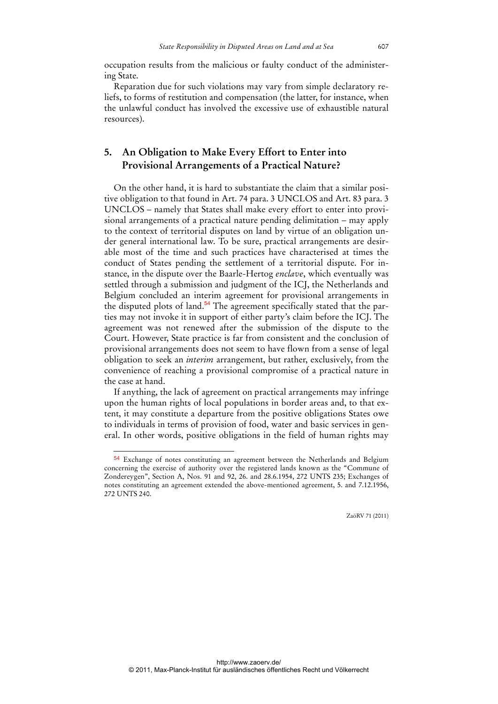occupation results from the malicious or faulty conduct of the administering State.

Reparation due for such violations may vary from simple declaratory reliefs, to forms of restitution and compensation (the latter, for instance, when the unlawful conduct has involved the excessive use of exhaustible natural resources).

## **5. An Obligation to Make Every Effort to Enter into Provisional Arrangements of a Practical Nature?**

On the other hand, it is hard to substantiate the claim that a similar positive obligation to that found in Art. 74 para. 3 UNCLOS and Art. 83 para. 3 UNCLOS – namely that States shall make every effort to enter into provisional arrangements of a practical nature pending delimitation – may apply to the context of territorial disputes on land by virtue of an obligation under general international law. To be sure, practical arrangements are desirable most of the time and such practices have characterised at times the conduct of States pending the settlement of a territorial dispute. For instance, in the dispute over the Baarle-Hertog *enclave*, which eventually was settled through a submission and judgment of the ICJ, the Netherlands and Belgium concluded an interim agreement for provisional arrangements in the disputed plots of land.<sup>54</sup> The agreement specifically stated that the parties may not invoke it in support of either party's claim before the ICJ. The agreement was not renewed after the submission of the dispute to the Court. However, State practice is far from consistent and the conclusion of provisional arrangements does not seem to have flown from a sense of legal obligation to seek an *interim* arrangement, but rather, exclusively, from the convenience of reaching a provisional compromise of a practical nature in the case at hand.

If anything, the lack of agreement on practical arrangements may infringe upon the human rights of local populations in border areas and, to that extent, it may constitute a departure from the positive obligations States owe to individuals in terms of provision of food, water and basic services in general. In other words, positive obligations in the field of human rights may

<sup>54</sup> Exchange of notes constituting an agreement between the Netherlands and Belgium concerning the exercise of authority over the registered lands known as the "Commune of Zondereygen", Section A, Nos. 91 and 92, 26. and 28.6.1954, 272 UNTS 235; Exchanges of notes constituting an agreement extended the above-mentioned agreement, 5. and 7.12.1956, 272 UNTS 240.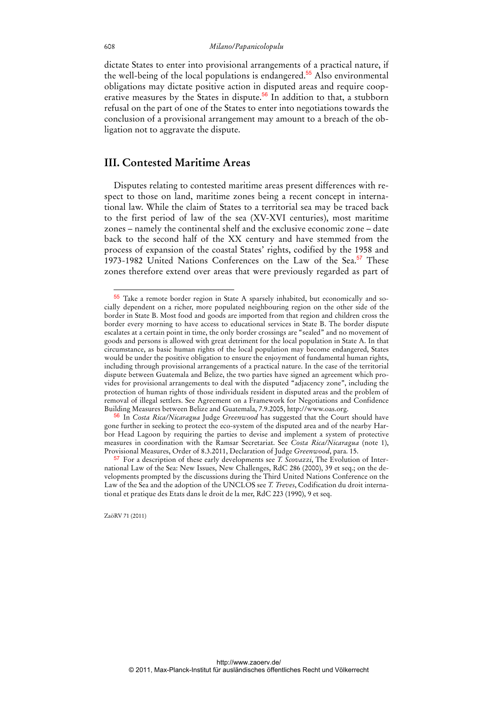dictate States to enter into provisional arrangements of a practical nature, if the well-being of the local populations is endangered.<sup>55</sup> Also environmental obligations may dictate positive action in disputed areas and require cooperative measures by the States in dispute.<sup>56</sup> In addition to that, a stubborn refusal on the part of one of the States to enter into negotiations towards the conclusion of a provisional arrangement may amount to a breach of the obligation not to aggravate the dispute.

## **III. Contested Maritime Areas**

Disputes relating to contested maritime areas present differences with respect to those on land, maritime zones being a recent concept in international law. While the claim of States to a territorial sea may be traced back to the first period of law of the sea (XV-XVI centuries), most maritime zones – namely the continental shelf and the exclusive economic zone – date back to the second half of the XX century and have stemmed from the process of expansion of the coastal States' rights, codified by the 1958 and 1973-1982 United Nations Conferences on the Law of the Sea.<sup>57</sup> These zones therefore extend over areas that were previously regarded as part of

56 In *Costa Rica/Nicaragua* Judge *Greenwood* has suggested that the Court should have gone further in seeking to protect the eco-system of the disputed area and of the nearby Harbor Head Lagoon by requiring the parties to devise and implement a system of protective measures in coordination with the Ramsar Secretariat. See *Costa Rica/Nicaragua* (note 1), Provisional Measures, Order of 8.3.2011, Declaration of Judge *Greenwood*, para. 15.

 $\overline{a}$ 55 Take a remote border region in State A sparsely inhabited, but economically and socially dependent on a richer, more populated neighbouring region on the other side of the border in State B. Most food and goods are imported from that region and children cross the border every morning to have access to educational services in State B. The border dispute escalates at a certain point in time, the only border crossings are "sealed" and no movement of goods and persons is allowed with great detriment for the local population in State A. In that circumstance, as basic human rights of the local population may become endangered, States would be under the positive obligation to ensure the enjoyment of fundamental human rights, including through provisional arrangements of a practical nature. In the case of the territorial dispute between Guatemala and Belize, the two parties have signed an agreement which provides for provisional arrangements to deal with the disputed "adjacency zone", including the protection of human rights of those individuals resident in disputed areas and the problem of removal of illegal settlers. See Agreement on a Framework for Negotiations and Confidence Building Measures between Belize and Guatemala, 7.9.2005, http://www.oas.org.

<sup>57</sup> For a description of these early developments see *T. Scovazzi*, The Evolution of International Law of the Sea: New Issues, New Challenges, RdC 286 (2000), 39 et seq.; on the developments prompted by the discussions during the Third United Nations Conference on the Law of the Sea and the adoption of the UNCLOS see *T. Treves*, Codification du droit international et pratique des Etats dans le droit de la mer, RdC 223 (1990), 9 et seq.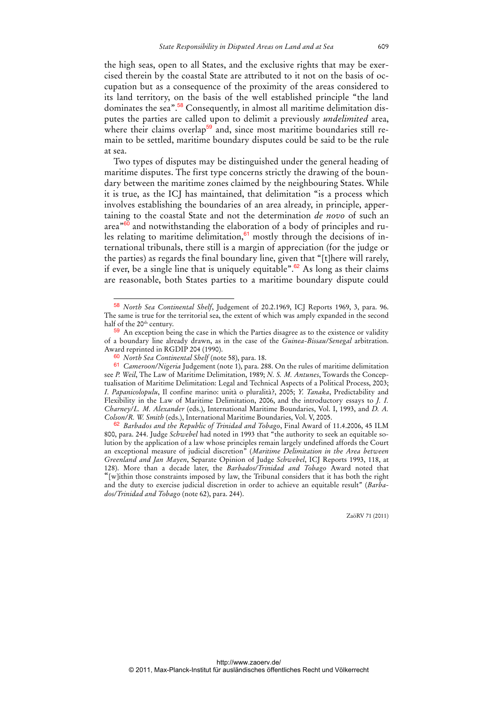the high seas, open to all States, and the exclusive rights that may be exercised therein by the coastal State are attributed to it not on the basis of occupation but as a consequence of the proximity of the areas considered to its land territory, on the basis of the well established principle "the land dominates the sea".<sup>58</sup> Consequently, in almost all maritime delimitation disputes the parties are called upon to delimit a previously *undelimited* area, where their claims overlap<sup>59</sup> and, since most maritime boundaries still remain to be settled, maritime boundary disputes could be said to be the rule at sea.

Two types of disputes may be distinguished under the general heading of maritime disputes. The first type concerns strictly the drawing of the boundary between the maritime zones claimed by the neighbouring States. While it is true, as the ICJ has maintained, that delimitation "is a process which involves establishing the boundaries of an area already, in principle, appertaining to the coastal State and not the determination *de novo* of such an area $^{860}$  and notwithstanding the elaboration of a body of principles and rules relating to maritime delimitation, $61$  mostly through the decisions of international tribunals, there still is a margin of appreciation (for the judge or the parties) as regards the final boundary line, given that "[t]here will rarely, if ever, be a single line that is uniquely equitable".<sup>62</sup> As long as their claims are reasonable, both States parties to a maritime boundary dispute could

 $\overline{a}$ 

<sup>58</sup> *North Sea Continental Shelf*, Judgement of 20.2.1969, ICJ Reports 1969, 3, para. 96. The same is true for the territorial sea, the extent of which was amply expanded in the second half of the 20<sup>th</sup> century.

<sup>59</sup> An exception being the case in which the Parties disagree as to the existence or validity of a boundary line already drawn, as in the case of the *Guinea-Bissau/Senegal* arbitration. Award reprinted in RGDIP 204 (1990).

<sup>60</sup> *North Sea Continental Shelf* (note 58), para. 18.

<sup>61</sup> *Cameroon/Nigeria* Judgement (note 1), para. 288. On the rules of maritime delimitation see *P. Weil*, The Law of Maritime Delimitation, 1989; *N. S. M. Antunes*, Towards the Conceptualisation of Maritime Delimitation: Legal and Technical Aspects of a Political Process, 2003; *I. Papanicolopulu*, Il confine marino: unità o pluralità?, 2005; *Y. Tanaka*, Predictability and Flexibility in the Law of Maritime Delimitation, 2006, and the introductory essays to *J. I. Charney/L. M. Alexander* (eds.), International Maritime Boundaries, Vol. I, 1993, and *D. A. Colson/R. W. Smith* (eds.), International Maritime Boundaries, Vol. V, 2005.

<sup>62</sup> *Barbados and the Republic of Trinidad and Tobago*, Final Award of 11.4.2006, 45 ILM 800, para. 244. Judge *Schwebel* had noted in 1993 that "the authority to seek an equitable solution by the application of a law whose principles remain largely undefined affords the Court an exceptional measure of judicial discretion" (*Maritime Delimitation in the Area between Greenland and Jan Mayen*, Separate Opinion of Judge *Schwebel*, ICJ Reports 1993, 118, at 128). More than a decade later, the *Barbados/Trinidad and Tobago* Award noted that "[w]ithin those constraints imposed by law, the Tribunal considers that it has both the right and the duty to exercise judicial discretion in order to achieve an equitable result" (*Barbados/Trinidad and Tobago* (note 62), para. 244).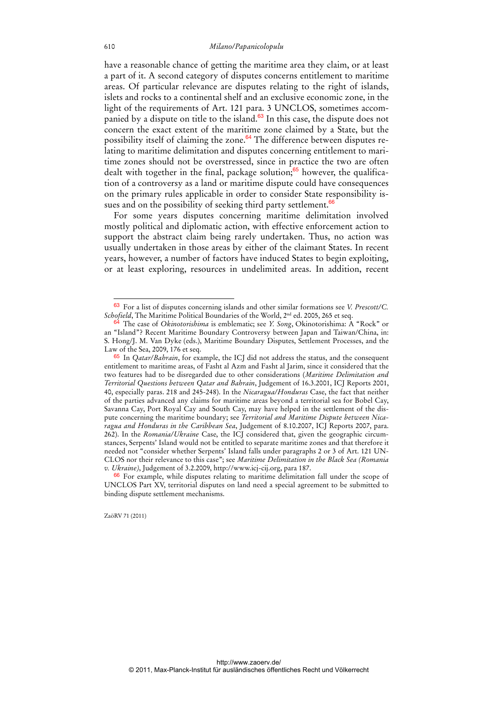have a reasonable chance of getting the maritime area they claim, or at least a part of it. A second category of disputes concerns entitlement to maritime areas. Of particular relevance are disputes relating to the right of islands, islets and rocks to a continental shelf and an exclusive economic zone, in the light of the requirements of Art. 121 para. 3 UNCLOS, sometimes accompanied by a dispute on title to the island.<sup>63</sup> In this case, the dispute does not concern the exact extent of the maritime zone claimed by a State, but the possibility itself of claiming the zone.<sup>64</sup> The difference between disputes relating to maritime delimitation and disputes concerning entitlement to maritime zones should not be overstressed, since in practice the two are often dealt with together in the final, package solution;<sup>65</sup> however, the qualification of a controversy as a land or maritime dispute could have consequences on the primary rules applicable in order to consider State responsibility issues and on the possibility of seeking third party settlement.<sup>66</sup>

For some years disputes concerning maritime delimitation involved mostly political and diplomatic action, with effective enforcement action to support the abstract claim being rarely undertaken. Thus, no action was usually undertaken in those areas by either of the claimant States. In recent years, however, a number of factors have induced States to begin exploiting, or at least exploring, resources in undelimited areas. In addition, recent

ZaöRV 71 (2011)

<sup>63</sup> For a list of disputes concerning islands and other similar formations see *V. Prescott/C. Schofield*, The Maritime Political Boundaries of the World, 2nd ed. 2005, 265 et seq.

<sup>64</sup> The case of *Okinotorishima* is emblematic; see *Y. Song*, Okinotorishima: A "Rock" or an "Island"? Recent Maritime Boundary Controversy between Japan and Taiwan/China, in: S. Hong/J. M. Van Dyke (eds.), Maritime Boundary Disputes, Settlement Processes, and the Law of the Sea, 2009, 176 et seq.

<sup>65</sup> In *Qatar/Bahrain*, for example, the ICJ did not address the status, and the consequent entitlement to maritime areas, of Fasht al Azm and Fasht al Jarim, since it considered that the two features had to be disregarded due to other considerations (*Maritime Delimitation and Territorial Questions between Qatar and Bahrain*, Judgement of 16.3.2001, ICJ Reports 2001, 40, especially paras. 218 and 245-248). In the *Nicaragua/Honduras* Case, the fact that neither of the parties advanced any claims for maritime areas beyond a territorial sea for Bobel Cay, Savanna Cay, Port Royal Cay and South Cay, may have helped in the settlement of the dispute concerning the maritime boundary; see *Territorial and Maritime Dispute between Nicaragua and Honduras in the Caribbean Sea*, Judgement of 8.10.2007, ICJ Reports 2007, para. 262). In the *Romania/Ukraine* Case, the ICJ considered that, given the geographic circumstances, Serpents' Island would not be entitled to separate maritime zones and that therefore it needed not "consider whether Serpents' Island falls under paragraphs 2 or 3 of Art. 121 UN-CLOS nor their relevance to this case"; see *Maritime Delimitation in the Black Sea (Romania v. Ukraine)*, Judgement of 3.2.2009, http://www.icj-cij.org, para 187.

<sup>66</sup> For example, while disputes relating to maritime delimitation fall under the scope of UNCLOS Part XV, territorial disputes on land need a special agreement to be submitted to binding dispute settlement mechanisms.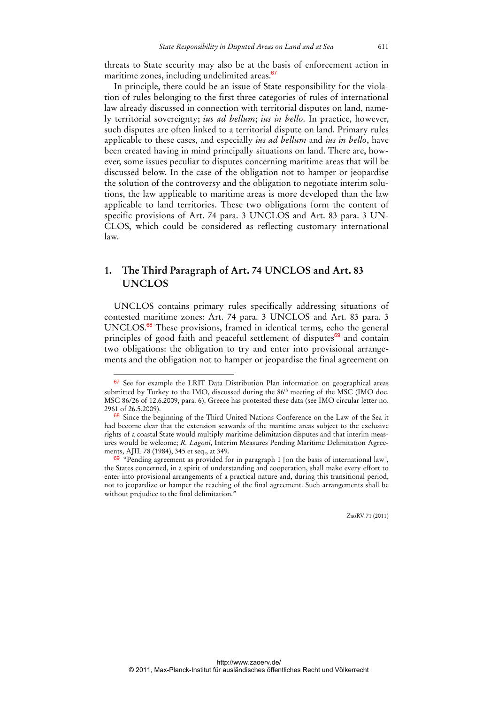threats to State security may also be at the basis of enforcement action in maritime zones, including undelimited areas.<sup>67</sup>

In principle, there could be an issue of State responsibility for the violation of rules belonging to the first three categories of rules of international law already discussed in connection with territorial disputes on land, namely territorial sovereignty; *ius ad bellum*; *ius in bello*. In practice, however, such disputes are often linked to a territorial dispute on land. Primary rules applicable to these cases, and especially *ius ad bellum* and *ius in bello*, have been created having in mind principally situations on land. There are, however, some issues peculiar to disputes concerning maritime areas that will be discussed below. In the case of the obligation not to hamper or jeopardise the solution of the controversy and the obligation to negotiate interim solutions, the law applicable to maritime areas is more developed than the law applicable to land territories. These two obligations form the content of specific provisions of Art. 74 para. 3 UNCLOS and Art. 83 para. 3 UN-CLOS, which could be considered as reflecting customary international law.

## **1. The Third Paragraph of Art. 74 UNCLOS and Art. 83 UNCLOS**

UNCLOS contains primary rules specifically addressing situations of contested maritime zones: Art. 74 para. 3 UNCLOS and Art. 83 para. 3 UNCLOS.<sup>68</sup> These provisions, framed in identical terms, echo the general principles of good faith and peaceful settlement of disputes $69$  and contain two obligations: the obligation to try and enter into provisional arrangements and the obligation not to hamper or jeopardise the final agreement on

<sup>67</sup> See for example the LRIT Data Distribution Plan information on geographical areas submitted by Turkey to the IMO, discussed during the 86<sup>th</sup> meeting of the MSC (IMO doc. MSC 86/26 of 12.6.2009, para. 6). Greece has protested these data (see IMO circular letter no. 2961 of 26.5.2009).

<sup>&</sup>lt;sup>68</sup> Since the beginning of the Third United Nations Conference on the Law of the Sea it had become clear that the extension seawards of the maritime areas subject to the exclusive rights of a coastal State would multiply maritime delimitation disputes and that interim measures would be welcome; *R. Lagoni*, Interim Measures Pending Maritime Delimitation Agreements, AJIL 78 (1984), 345 et seq., at 349.

 $69$  "Pending agreement as provided for in paragraph 1 [on the basis of international law], the States concerned, in a spirit of understanding and cooperation, shall make every effort to enter into provisional arrangements of a practical nature and, during this transitional period, not to jeopardize or hamper the reaching of the final agreement. Such arrangements shall be without prejudice to the final delimitation."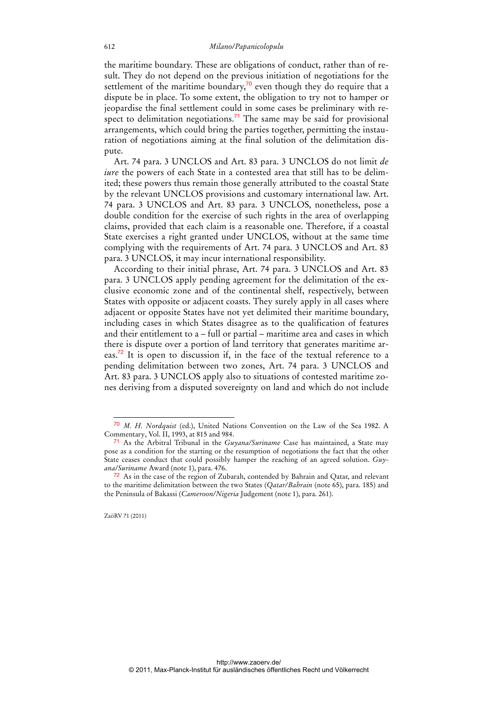#### 612 *Milano/Papanicolopulu*

the maritime boundary. These are obligations of conduct, rather than of result. They do not depend on the previous initiation of negotiations for the settlement of the maritime boundary,<sup>70</sup> even though they do require that a dispute be in place. To some extent, the obligation to try not to hamper or jeopardise the final settlement could in some cases be preliminary with respect to delimitation negotiations.<sup>71</sup> The same may be said for provisional arrangements, which could bring the parties together, permitting the instauration of negotiations aiming at the final solution of the delimitation dispute.

Art. 74 para. 3 UNCLOS and Art. 83 para. 3 UNCLOS do not limit *de iure* the powers of each State in a contested area that still has to be delimited; these powers thus remain those generally attributed to the coastal State by the relevant UNCLOS provisions and customary international law. Art. 74 para. 3 UNCLOS and Art. 83 para. 3 UNCLOS, nonetheless, pose a double condition for the exercise of such rights in the area of overlapping claims, provided that each claim is a reasonable one. Therefore, if a coastal State exercises a right granted under UNCLOS, without at the same time complying with the requirements of Art. 74 para. 3 UNCLOS and Art. 83 para. 3 UNCLOS, it may incur international responsibility.

According to their initial phrase, Art. 74 para. 3 UNCLOS and Art. 83 para. 3 UNCLOS apply pending agreement for the delimitation of the exclusive economic zone and of the continental shelf, respectively, between States with opposite or adjacent coasts. They surely apply in all cases where adjacent or opposite States have not yet delimited their maritime boundary, including cases in which States disagree as to the qualification of features and their entitlement to a – full or partial – maritime area and cases in which there is dispute over a portion of land territory that generates maritime areas.<sup>72</sup> It is open to discussion if, in the face of the textual reference to a pending delimitation between two zones, Art. 74 para. 3 UNCLOS and Art. 83 para. 3 UNCLOS apply also to situations of contested maritime zones deriving from a disputed sovereignty on land and which do not include

<sup>70</sup> *M. H. Nordquist* (ed.), United Nations Convention on the Law of the Sea 1982. A Commentary, Vol. II, 1993, at 815 and 984.

<sup>71</sup> As the Arbitral Tribunal in the *Guyana/Suriname* Case has maintained, a State may pose as a condition for the starting or the resumption of negotiations the fact that the other State ceases conduct that could possibly hamper the reaching of an agreed solution. *Guyana/Suriname* Award (note 1), para. 476.

 $72$  As in the case of the region of Zubarah, contended by Bahrain and Qatar, and relevant to the maritime delimitation between the two States (*Qatar/Bahrain* (note 65), para. 185) and the Peninsula of Bakassi (*Cameroon/Nigeria* Judgement (note 1), para. 261).

ZaöRV 71 (2011)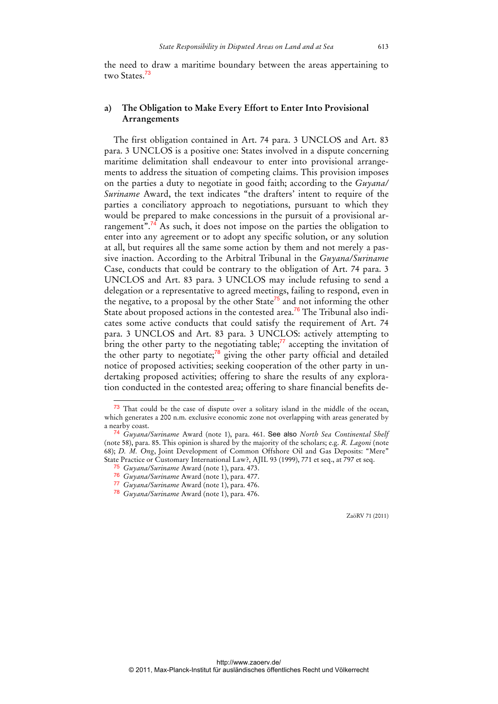the need to draw a maritime boundary between the areas appertaining to two States<sup>73</sup>

## **a) The Obligation to Make Every Effort to Enter Into Provisional Arrangements**

The first obligation contained in Art. 74 para. 3 UNCLOS and Art. 83 para. 3 UNCLOS is a positive one: States involved in a dispute concerning maritime delimitation shall endeavour to enter into provisional arrangements to address the situation of competing claims. This provision imposes on the parties a duty to negotiate in good faith; according to the *Guyana/ Suriname* Award, the text indicates "the drafters' intent to require of the parties a conciliatory approach to negotiations, pursuant to which they would be prepared to make concessions in the pursuit of a provisional arrangement".<sup>74</sup> As such, it does not impose on the parties the obligation to enter into any agreement or to adopt any specific solution, or any solution at all, but requires all the same some action by them and not merely a passive inaction. According to the Arbitral Tribunal in the *Guyana/Suriname* Case, conducts that could be contrary to the obligation of Art. 74 para. 3 UNCLOS and Art. 83 para. 3 UNCLOS may include refusing to send a delegation or a representative to agreed meetings, failing to respond, even in the negative, to a proposal by the other State<sup>75</sup> and not informing the other State about proposed actions in the contested area.<sup>76</sup> The Tribunal also indicates some active conducts that could satisfy the requirement of Art. 74 para. 3 UNCLOS and Art. 83 para. 3 UNCLOS: actively attempting to bring the other party to the negotiating table; $^{77}$  accepting the invitation of the other party to negotiate; $78$  giving the other party official and detailed notice of proposed activities; seeking cooperation of the other party in undertaking proposed activities; offering to share the results of any exploration conducted in the contested area; offering to share financial benefits de-

 $\overline{a}$ 

<sup>73</sup> That could be the case of dispute over a solitary island in the middle of the ocean, which generates a 200 n.m. exclusive economic zone not overlapping with areas generated by a nearby coast.

<sup>74</sup> *Guyana/Suriname* Award (note 1), para. 461. See also *North Sea Continental Shelf* (note 58), para. 85. This opinion is shared by the majority of the scholars; e.g. *R. Lagoni* (note 68); *D. M. Ong*, Joint Development of Common Offshore Oil and Gas Deposits: "Mere" State Practice or Customary International Law?, AJIL 93 (1999), 771 et seq., at 797 et seq.

<sup>75</sup> *Guyana/Suriname* Award (note 1), para. 473.

<sup>76</sup> *Guyana/Suriname* Award (note 1), para. 477.

<sup>77</sup> *Guyana/Suriname* Award (note 1), para. 476.

<sup>78</sup> *Guyana/Suriname* Award (note 1), para. 476.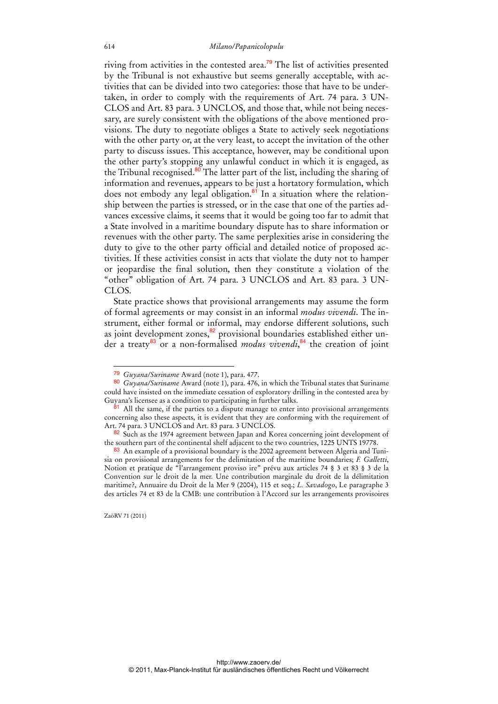riving from activities in the contested area.<sup>79</sup> The list of activities presented by the Tribunal is not exhaustive but seems generally acceptable, with activities that can be divided into two categories: those that have to be undertaken, in order to comply with the requirements of Art. 74 para. 3 UN-CLOS and Art. 83 para. 3 UNCLOS, and those that, while not being necessary, are surely consistent with the obligations of the above mentioned provisions. The duty to negotiate obliges a State to actively seek negotiations with the other party or, at the very least, to accept the invitation of the other party to discuss issues. This acceptance, however, may be conditional upon the other party's stopping any unlawful conduct in which it is engaged, as the Tribunal recognised.<sup>80</sup> The latter part of the list, including the sharing of information and revenues, appears to be just a hortatory formulation, which does not embody any legal obligation. $81$  In a situation where the relationship between the parties is stressed, or in the case that one of the parties advances excessive claims, it seems that it would be going too far to admit that a State involved in a maritime boundary dispute has to share information or revenues with the other party. The same perplexities arise in considering the duty to give to the other party official and detailed notice of proposed activities. If these activities consist in acts that violate the duty not to hamper or jeopardise the final solution, then they constitute a violation of the "other" obligation of Art. 74 para. 3 UNCLOS and Art. 83 para. 3 UN-CLOS.

State practice shows that provisional arrangements may assume the form of formal agreements or may consist in an informal *modus vivendi*. The instrument, either formal or informal, may endorse different solutions, such as joint development zones,<sup>82</sup> provisional boundaries established either under a treaty<sup>83</sup> or a non-formalised *modus vivendi*,<sup>84</sup> the creation of joint

<sup>79</sup> *Guyana/Suriname* Award (note 1), para. 477.

<sup>80</sup> *Guyana/Suriname* Award (note 1), para. 476, in which the Tribunal states that Suriname could have insisted on the immediate cessation of exploratory drilling in the contested area by Guyana's licensee as a condition to participating in further talks.

<sup>81</sup> All the same, if the parties to a dispute manage to enter into provisional arrangements concerning also these aspects, it is evident that they are conforming with the requirement of Art. 74 para. 3 UNCLOS and Art. 83 para. 3 UNCLOS.

<sup>82</sup> Such as the 1974 agreement between Japan and Korea concerning joint development of the southern part of the continental shelf adjacent to the two countries, 1225 UNTS 19778.

<sup>83</sup> An example of a provisional boundary is the 2002 agreement between Algeria and Tunisia on provisional arrangements for the delimitation of the maritime boundaries; *F. Galletti*, Notion et pratique de "l'arrangement proviso ire" prévu aux articles 74 § 3 et 83 § 3 de la Convention sur le droit de la mer. Une contribution marginale du droit de la délimitation maritime?, Annuaire du Droit de la Mer 9 (2004), 115 et seq.; *L. Savadogo*, Le paragraphe 3 des articles 74 et 83 de la CMB: une contribution à l'Accord sur les arrangements provisoires

ZaöRV 71 (2011)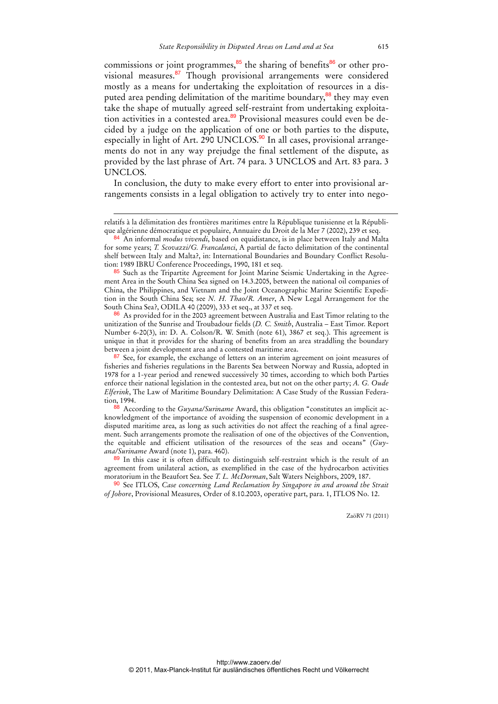commissions or joint programmes, $85$  the sharing of benefits $86$  or other provisional measures.<sup>87</sup> Though provisional arrangements were considered mostly as a means for undertaking the exploitation of resources in a disputed area pending delimitation of the maritime boundary,<sup>88</sup> they may even take the shape of mutually agreed self-restraint from undertaking exploitation activities in a contested area.<sup>89</sup> Provisional measures could even be decided by a judge on the application of one or both parties to the dispute, especially in light of Art. 290 UNCLOS.<sup>90</sup> In all cases, provisional arrangements do not in any way prejudge the final settlement of the dispute, as provided by the last phrase of Art. 74 para. 3 UNCLOS and Art. 83 para. 3 UNCLOS.

In conclusion, the duty to make every effort to enter into provisional arrangements consists in a legal obligation to actively try to enter into nego-

-

86 As provided for in the 2003 agreement between Australia and East Timor relating to the unitization of the Sunrise and Troubadour fields (*D. C. Smith*, Australia – East Timor. Report Number 6-20(3), in: D. A. Colson/R. W. Smith (note 61), 3867 et seq.). This agreement is unique in that it provides for the sharing of benefits from an area straddling the boundary between a joint development area and a contested maritime area.

<sup>87</sup> See, for example, the exchange of letters on an interim agreement on joint measures of fisheries and fisheries regulations in the Barents Sea between Norway and Russia, adopted in 1978 for a 1-year period and renewed successively 30 times, according to which both Parties enforce their national legislation in the contested area, but not on the other party; *A. G. Oude Elferink*, The Law of Maritime Boundary Delimitation: A Case Study of the Russian Federation, 1994.

88 According to the *Guyana/Suriname* Award, this obligation "constitutes an implicit acknowledgment of the importance of avoiding the suspension of economic development in a disputed maritime area, as long as such activities do not affect the reaching of a final agreement. Such arrangements promote the realisation of one of the objectives of the Convention, the equitable and efficient utilisation of the resources of the seas and oceans" (*Guyana/Suriname* Award (note 1), para. 460).

89 In this case it is often difficult to distinguish self-restraint which is the result of an agreement from unilateral action, as exemplified in the case of the hydrocarbon activities moratorium in the Beaufort Sea. See *T. L. McDorman*, Salt Waters Neighbors, 2009, 187.

90 See ITLOS, *Case concerning Land Reclamation by Singapore in and around the Strait of Johore*, Provisional Measures, Order of 8.10.2003, operative part, para. 1, ITLOS No. 12.

relatifs à la délimitation des frontières maritimes entre la République tunisienne et la République algérienne démocratique et populaire, Annuaire du Droit de la Mer 7 (2002), 239 et seq.

<sup>84</sup> An informal *modus vivendi*, based on equidistance, is in place between Italy and Malta for some years; *T. Scovazzi/G. Francalanci*, A partial de facto delimitation of the continental shelf between Italy and Malta?, in: International Boundaries and Boundary Conflict Resolution: 1989 IBRU Conference Proceedings, 1990, 181 et seq.

<sup>85</sup> Such as the Tripartite Agreement for Joint Marine Seismic Undertaking in the Agreement Area in the South China Sea signed on 14.3.2005, between the national oil companies of China, the Philippines, and Vietnam and the Joint Oceanographic Marine Scientific Expedition in the South China Sea; see *N. H. Thao/R. Amer*, A New Legal Arrangement for the South China Sea?, ODILA 40 (2009), 333 et seq., at 337 et seq.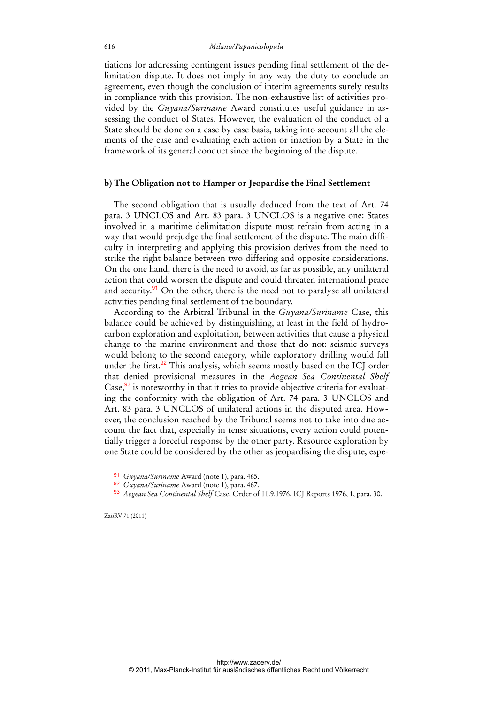tiations for addressing contingent issues pending final settlement of the delimitation dispute. It does not imply in any way the duty to conclude an agreement, even though the conclusion of interim agreements surely results in compliance with this provision. The non-exhaustive list of activities provided by the *Guyana/Suriname* Award constitutes useful guidance in assessing the conduct of States. However, the evaluation of the conduct of a State should be done on a case by case basis, taking into account all the elements of the case and evaluating each action or inaction by a State in the framework of its general conduct since the beginning of the dispute.

### **b) The Obligation not to Hamper or Jeopardise the Final Settlement**

The second obligation that is usually deduced from the text of Art. 74 para. 3 UNCLOS and Art. 83 para. 3 UNCLOS is a negative one: States involved in a maritime delimitation dispute must refrain from acting in a way that would prejudge the final settlement of the dispute. The main difficulty in interpreting and applying this provision derives from the need to strike the right balance between two differing and opposite considerations. On the one hand, there is the need to avoid, as far as possible, any unilateral action that could worsen the dispute and could threaten international peace and security.<sup>91</sup> On the other, there is the need not to paralyse all unilateral activities pending final settlement of the boundary.

According to the Arbitral Tribunal in the *Guyana/Suriname* Case, this balance could be achieved by distinguishing, at least in the field of hydrocarbon exploration and exploitation, between activities that cause a physical change to the marine environment and those that do not: seismic surveys would belong to the second category, while exploratory drilling would fall under the first.<sup>92</sup> This analysis, which seems mostly based on the ICJ order that denied provisional measures in the *Aegean Sea Continental Shelf* Case,<sup>93</sup> is noteworthy in that it tries to provide objective criteria for evaluating the conformity with the obligation of Art. 74 para. 3 UNCLOS and Art. 83 para. 3 UNCLOS of unilateral actions in the disputed area. However, the conclusion reached by the Tribunal seems not to take into due account the fact that, especially in tense situations, every action could potentially trigger a forceful response by the other party. Resource exploration by one State could be considered by the other as jeopardising the dispute, espe-

 $\overline{a}$ 

http://www.zaoerv.de/ © 2011, Max-Planck-Institut für ausländisches öffentliches Recht und Völkerrecht

<sup>91</sup> *Guyana/Suriname* Award (note 1), para. 465.

<sup>92</sup> *Guyana/Suriname* Award (note 1), para. 467.

<sup>93</sup> *Aegean Sea Continental Shelf* Case, Order of 11.9.1976, ICJ Reports 1976, 1, para. 30.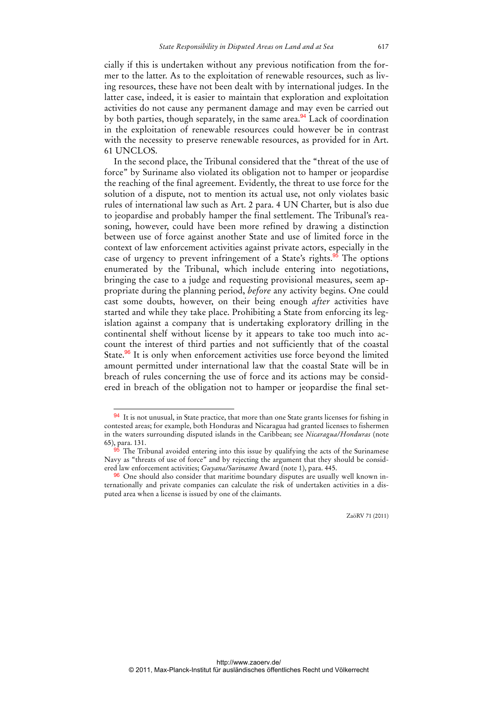cially if this is undertaken without any previous notification from the former to the latter. As to the exploitation of renewable resources, such as living resources, these have not been dealt with by international judges. In the latter case, indeed, it is easier to maintain that exploration and exploitation activities do not cause any permanent damage and may even be carried out by both parties, though separately, in the same area.<sup>94</sup> Lack of coordination in the exploitation of renewable resources could however be in contrast with the necessity to preserve renewable resources, as provided for in Art. 61 UNCLOS.

In the second place, the Tribunal considered that the "threat of the use of force" by Suriname also violated its obligation not to hamper or jeopardise the reaching of the final agreement. Evidently, the threat to use force for the solution of a dispute, not to mention its actual use, not only violates basic rules of international law such as Art. 2 para. 4 UN Charter, but is also due to jeopardise and probably hamper the final settlement. The Tribunal's reasoning, however, could have been more refined by drawing a distinction between use of force against another State and use of limited force in the context of law enforcement activities against private actors, especially in the case of urgency to prevent infringement of a State's rights.<sup>95</sup> The options enumerated by the Tribunal, which include entering into negotiations, bringing the case to a judge and requesting provisional measures, seem appropriate during the planning period, *before* any activity begins. One could cast some doubts, however, on their being enough *after* activities have started and while they take place. Prohibiting a State from enforcing its legislation against a company that is undertaking exploratory drilling in the continental shelf without license by it appears to take too much into account the interest of third parties and not sufficiently that of the coastal State.<sup>96</sup> It is only when enforcement activities use force beyond the limited amount permitted under international law that the coastal State will be in breach of rules concerning the use of force and its actions may be considered in breach of the obligation not to hamper or jeopardise the final set-

<sup>94</sup> It is not unusual, in State practice, that more than one State grants licenses for fishing in contested areas; for example, both Honduras and Nicaragua had granted licenses to fishermen in the waters surrounding disputed islands in the Caribbean; see *Nicaragua/Honduras* (note 65), para. 131.

The Tribunal avoided entering into this issue by qualifying the acts of the Surinamese Navy as "threats of use of force" and by rejecting the argument that they should be considered law enforcement activities; *Guyana/Suriname* Award (note 1), para. 445.

<sup>96</sup> One should also consider that maritime boundary disputes are usually well known internationally and private companies can calculate the risk of undertaken activities in a disputed area when a license is issued by one of the claimants.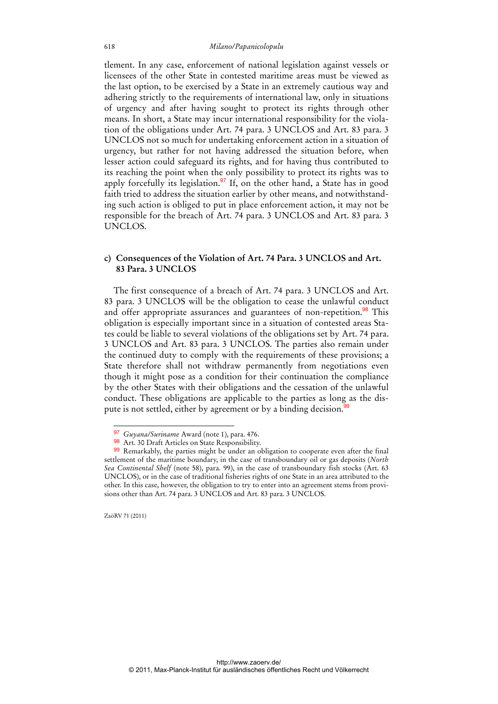tlement. In any case, enforcement of national legislation against vessels or licensees of the other State in contested maritime areas must be viewed as the last option, to be exercised by a State in an extremely cautious way and adhering strictly to the requirements of international law, only in situations of urgency and after having sought to protect its rights through other means. In short, a State may incur international responsibility for the violation of the obligations under Art. 74 para. 3 UNCLOS and Art. 83 para. 3 UNCLOS not so much for undertaking enforcement action in a situation of urgency, but rather for not having addressed the situation before, when lesser action could safeguard its rights, and for having thus contributed to its reaching the point when the only possibility to protect its rights was to apply forcefully its legislation.<sup>97</sup> If, on the other hand, a State has in good faith tried to address the situation earlier by other means, and notwithstanding such action is obliged to put in place enforcement action, it may not be responsible for the breach of Art. 74 para. 3 UNCLOS and Art. 83 para. 3 UNCLOS.

### **c) Consequences of the Violation of Art. 74 Para. 3 UNCLOS and Art. 83 Para. 3 UNCLOS**

The first consequence of a breach of Art. 74 para. 3 UNCLOS and Art. 83 para. 3 UNCLOS will be the obligation to cease the unlawful conduct and offer appropriate assurances and guarantees of non-repetition.<sup>98</sup> This obligation is especially important since in a situation of contested areas States could be liable to several violations of the obligations set by Art. 74 para. 3 UNCLOS and Art. 83 para. 3 UNCLOS. The parties also remain under the continued duty to comply with the requirements of these provisions; a State therefore shall not withdraw permanently from negotiations even though it might pose as a condition for their continuation the compliance by the other States with their obligations and the cessation of the unlawful conduct. These obligations are applicable to the parties as long as the dispute is not settled, either by agreement or by a binding decision.<sup>99</sup>

ZaöRV 71 (2011)

<sup>97</sup> *Guyana/Suriname* Award (note 1), para. 476.

<sup>98</sup> Art. 30 Draft Articles on State Responsibility.

<sup>99</sup> Remarkably, the parties might be under an obligation to cooperate even after the final settlement of the maritime boundary, in the case of transboundary oil or gas deposits (*North Sea Continental Shelf* (note 58), para. 99), in the case of transboundary fish stocks (Art. 63 UNCLOS), or in the case of traditional fisheries rights of one State in an area attributed to the other. In this case, however, the obligation to try to enter into an agreement stems from provisions other than Art. 74 para. 3 UNCLOS and Art. 83 para. 3 UNCLOS.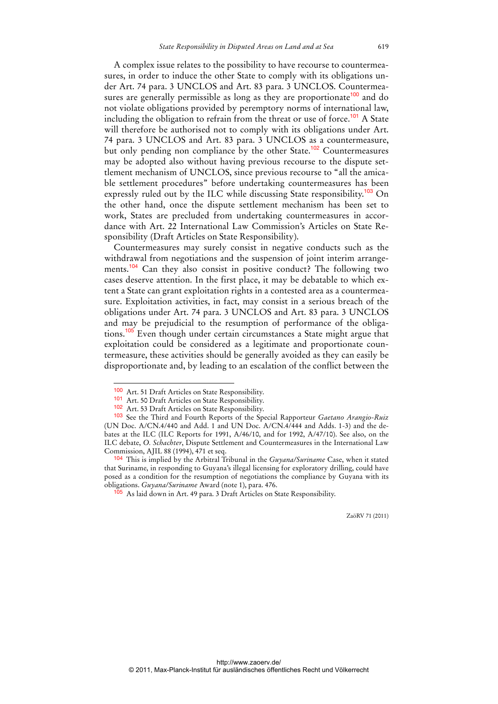A complex issue relates to the possibility to have recourse to countermeasures, in order to induce the other State to comply with its obligations under Art. 74 para. 3 UNCLOS and Art. 83 para. 3 UNCLOS. Countermeasures are generally permissible as long as they are proportionate<sup>100</sup> and do not violate obligations provided by peremptory norms of international law, including the obligation to refrain from the threat or use of force.<sup>101</sup> A State will therefore be authorised not to comply with its obligations under Art. 74 para. 3 UNCLOS and Art. 83 para. 3 UNCLOS as a countermeasure, but only pending non compliance by the other State.<sup>102</sup> Countermeasures may be adopted also without having previous recourse to the dispute settlement mechanism of UNCLOS, since previous recourse to "all the amicable settlement procedures" before undertaking countermeasures has been expressly ruled out by the ILC while discussing State responsibility.<sup>103</sup> On the other hand, once the dispute settlement mechanism has been set to work, States are precluded from undertaking countermeasures in accordance with Art. 22 International Law Commission's Articles on State Responsibility (Draft Articles on State Responsibility).

Countermeasures may surely consist in negative conducts such as the withdrawal from negotiations and the suspension of joint interim arrangements.<sup>104</sup> Can they also consist in positive conduct? The following two cases deserve attention. In the first place, it may be debatable to which extent a State can grant exploitation rights in a contested area as a countermeasure. Exploitation activities, in fact, may consist in a serious breach of the obligations under Art. 74 para. 3 UNCLOS and Art. 83 para. 3 UNCLOS and may be prejudicial to the resumption of performance of the obligations.<sup>105</sup> Even though under certain circumstances a State might argue that exploitation could be considered as a legitimate and proportionate countermeasure, these activities should be generally avoided as they can easily be disproportionate and, by leading to an escalation of the conflict between the

<sup>100</sup> Art. 51 Draft Articles on State Responsibility.

<sup>101</sup> Art. 50 Draft Articles on State Responsibility.

<sup>102</sup> Art. 53 Draft Articles on State Responsibility.

<sup>103</sup> See the Third and Fourth Reports of the Special Rapporteur *Gaetano Arangio-Ruiz* (UN Doc. A/CN.4/440 and Add. 1 and UN Doc. A/CN.4/444 and Adds. 1-3) and the debates at the ILC (ILC Reports for 1991, A/46/10, and for 1992, A/47/10). See also, on the ILC debate, *O. Schachter*, Dispute Settlement and Countermeasures in the International Law Commission, AJIL 88 (1994), 471 et seq.

<sup>104</sup> This is implied by the Arbitral Tribunal in the *Guyana/Suriname* Case, when it stated that Suriname, in responding to Guyana's illegal licensing for exploratory drilling, could have posed as a condition for the resumption of negotiations the compliance by Guyana with its obligations. *Guyana/Suriname* Award (note 1), para. 476.

 $5$  As laid down in Art. 49 para. 3 Draft Articles on State Responsibility.

ZaöRV 71 (2011)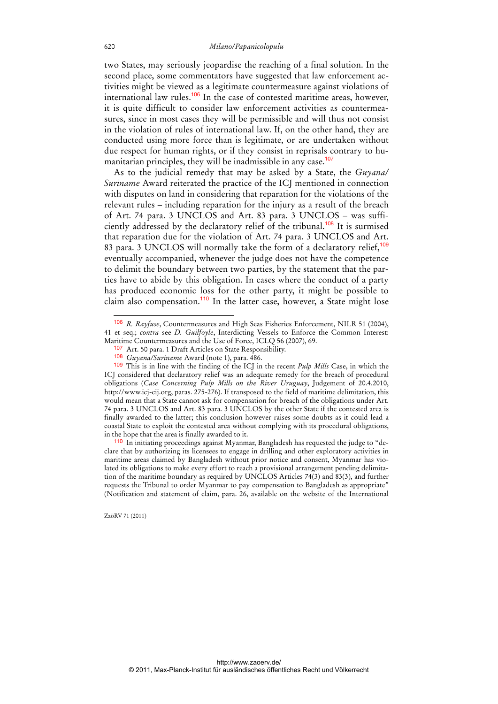two States, may seriously jeopardise the reaching of a final solution. In the second place, some commentators have suggested that law enforcement activities might be viewed as a legitimate countermeasure against violations of international law rules.<sup>106</sup> In the case of contested maritime areas, however, it is quite difficult to consider law enforcement activities as countermeasures, since in most cases they will be permissible and will thus not consist in the violation of rules of international law. If, on the other hand, they are conducted using more force than is legitimate, or are undertaken without due respect for human rights, or if they consist in reprisals contrary to humanitarian principles, they will be inadmissible in any case.<sup>107</sup>

As to the judicial remedy that may be asked by a State, the *Guyana/ Suriname* Award reiterated the practice of the ICJ mentioned in connection with disputes on land in considering that reparation for the violations of the relevant rules – including reparation for the injury as a result of the breach of Art. 74 para. 3 UNCLOS and Art. 83 para. 3 UNCLOS – was sufficiently addressed by the declaratory relief of the tribunal.<sup>108</sup> It is surmised that reparation due for the violation of Art. 74 para. 3 UNCLOS and Art. 83 para. 3 UNCLOS will normally take the form of a declaratory relief,  $109$ eventually accompanied, whenever the judge does not have the competence to delimit the boundary between two parties, by the statement that the parties have to abide by this obligation. In cases where the conduct of a party has produced economic loss for the other party, it might be possible to claim also compensation.<sup>110</sup> In the latter case, however, a State might lose

 $\ddot{ }$ 

<sup>106</sup> *R. Rayfuse*, Countermeasures and High Seas Fisheries Enforcement, NILR 51 (2004), 41 et seq.; *contra* see *D. Guilfoyle*, Interdicting Vessels to Enforce the Common Interest: Maritime Countermeasures and the Use of Force, ICLQ 56 (2007), 69.

<sup>107</sup> Art. 50 para. 1 Draft Articles on State Responsibility.

<sup>108</sup> *Guyana/Suriname* Award (note 1), para. 486.

<sup>109</sup> This is in line with the finding of the ICJ in the recent *Pulp Mills* Case, in which the ICJ considered that declaratory relief was an adequate remedy for the breach of procedural obligations (*Case Concerning Pulp Mills on the River Uruguay*, Judgement of 20.4.2010, http://www.icj-cij.org, paras. 275-276). If transposed to the field of maritime delimitation, this would mean that a State cannot ask for compensation for breach of the obligations under Art. 74 para. 3 UNCLOS and Art. 83 para. 3 UNCLOS by the other State if the contested area is finally awarded to the latter; this conclusion however raises some doubts as it could lead a coastal State to exploit the contested area without complying with its procedural obligations, in the hope that the area is finally awarded to it.

<sup>110</sup> In initiating proceedings against Myanmar, Bangladesh has requested the judge to "declare that by authorizing its licensees to engage in drilling and other exploratory activities in maritime areas claimed by Bangladesh without prior notice and consent, Myanmar has violated its obligations to make every effort to reach a provisional arrangement pending delimitation of the maritime boundary as required by UNCLOS Articles  $74(3)$  and  $83(3)$ , and further requests the Tribunal to order Myanmar to pay compensation to Bangladesh as appropriate" (Notification and statement of claim, para. 26, available on the website of the International

ZaöRV 71 (2011)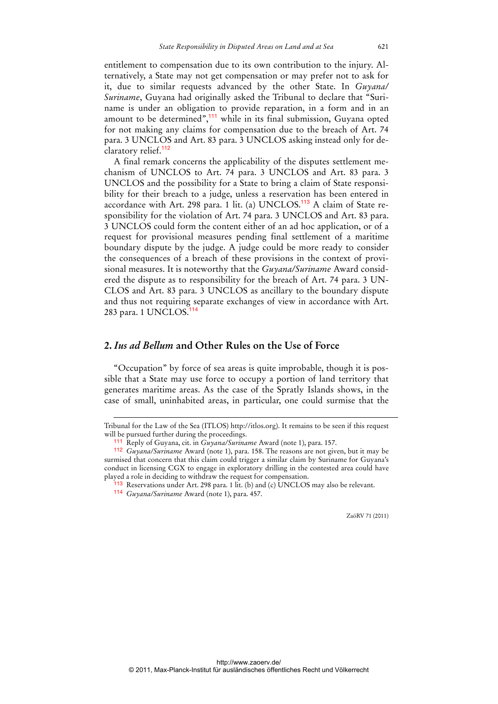entitlement to compensation due to its own contribution to the injury. Alternatively, a State may not get compensation or may prefer not to ask for it, due to similar requests advanced by the other State. In *Guyana/ Suriname*, Guyana had originally asked the Tribunal to declare that "Suriname is under an obligation to provide reparation, in a form and in an amount to be determined",<sup>111</sup> while in its final submission, Guyana opted for not making any claims for compensation due to the breach of Art. 74 para. 3 UNCLOS and Art. 83 para. 3 UNCLOS asking instead only for declaratory relief.<sup>112</sup>

A final remark concerns the applicability of the disputes settlement mechanism of UNCLOS to Art. 74 para. 3 UNCLOS and Art. 83 para. 3 UNCLOS and the possibility for a State to bring a claim of State responsibility for their breach to a judge, unless a reservation has been entered in accordance with Art. 298 para. 1 lit. (a)  $UNCLOS.<sup>113</sup>$  A claim of State responsibility for the violation of Art. 74 para. 3 UNCLOS and Art. 83 para. 3 UNCLOS could form the content either of an ad hoc application, or of a request for provisional measures pending final settlement of a maritime boundary dispute by the judge. A judge could be more ready to consider the consequences of a breach of these provisions in the context of provisional measures. It is noteworthy that the *Guyana/Suriname* Award considered the dispute as to responsibility for the breach of Art. 74 para. 3 UN-CLOS and Art. 83 para. 3 UNCLOS as ancillary to the boundary dispute and thus not requiring separate exchanges of view in accordance with Art. 283 para. 1 UNCLOS.<sup>114</sup>

## **2.** *Ius ad Bellum* **and Other Rules on the Use of Force**

"Occupation" by force of sea areas is quite improbable, though it is possible that a State may use force to occupy a portion of land territory that generates maritime areas. As the case of the Spratly Islands shows, in the case of small, uninhabited areas, in particular, one could surmise that the

-

Tribunal for the Law of the Sea (ITLOS) http://itlos.org). It remains to be seen if this request will be pursued further during the proceedings.

<sup>111</sup> Reply of Guyana, cit. in *Guyana/Suriname* Award (note 1), para. 157.

<sup>112</sup> *Guyana/Suriname* Award (note 1), para. 158. The reasons are not given, but it may be surmised that concern that this claim could trigger a similar claim by Suriname for Guyana's conduct in licensing CGX to engage in exploratory drilling in the contested area could have played a role in deciding to withdraw the request for compensation.

<sup>113</sup> Reservations under Art. 298 para. 1 lit. (b) and (c) UNCLOS may also be relevant.

<sup>114</sup> *Guyana/Suriname* Award (note 1), para. 457.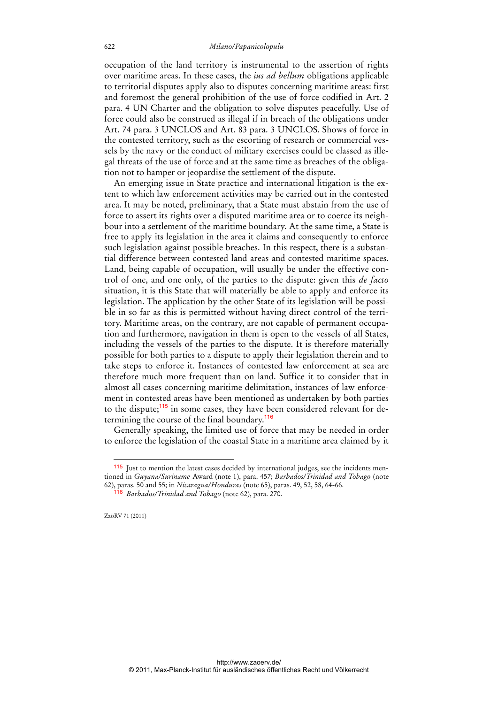occupation of the land territory is instrumental to the assertion of rights over maritime areas. In these cases, the *ius ad bellum* obligations applicable to territorial disputes apply also to disputes concerning maritime areas: first and foremost the general prohibition of the use of force codified in Art. 2 para. 4 UN Charter and the obligation to solve disputes peacefully. Use of force could also be construed as illegal if in breach of the obligations under Art. 74 para. 3 UNCLOS and Art. 83 para. 3 UNCLOS. Shows of force in the contested territory, such as the escorting of research or commercial vessels by the navy or the conduct of military exercises could be classed as illegal threats of the use of force and at the same time as breaches of the obligation not to hamper or jeopardise the settlement of the dispute.

An emerging issue in State practice and international litigation is the extent to which law enforcement activities may be carried out in the contested area. It may be noted, preliminary, that a State must abstain from the use of force to assert its rights over a disputed maritime area or to coerce its neighbour into a settlement of the maritime boundary. At the same time, a State is free to apply its legislation in the area it claims and consequently to enforce such legislation against possible breaches. In this respect, there is a substantial difference between contested land areas and contested maritime spaces. Land, being capable of occupation, will usually be under the effective control of one, and one only, of the parties to the dispute: given this *de facto* situation, it is this State that will materially be able to apply and enforce its legislation. The application by the other State of its legislation will be possible in so far as this is permitted without having direct control of the territory. Maritime areas, on the contrary, are not capable of permanent occupation and furthermore, navigation in them is open to the vessels of all States, including the vessels of the parties to the dispute. It is therefore materially possible for both parties to a dispute to apply their legislation therein and to take steps to enforce it. Instances of contested law enforcement at sea are therefore much more frequent than on land. Suffice it to consider that in almost all cases concerning maritime delimitation, instances of law enforcement in contested areas have been mentioned as undertaken by both parties to the dispute;<sup>115</sup> in some cases, they have been considered relevant for determining the course of the final boundary.<sup>116</sup>

Generally speaking, the limited use of force that may be needed in order to enforce the legislation of the coastal State in a maritime area claimed by it

<sup>115</sup> Just to mention the latest cases decided by international judges, see the incidents mentioned in *Guyana/Suriname* Award (note 1), para. 457; *Barbados/Trinidad and Tobago* (note 62), paras. 50 and 55; in *Nicaragua/Honduras* (note 65), paras. 49, 52, 58, 64-66.

<sup>116</sup> *Barbados/Trinidad and Tobago* (note 62), para. 270.

ZaöRV 71 (2011)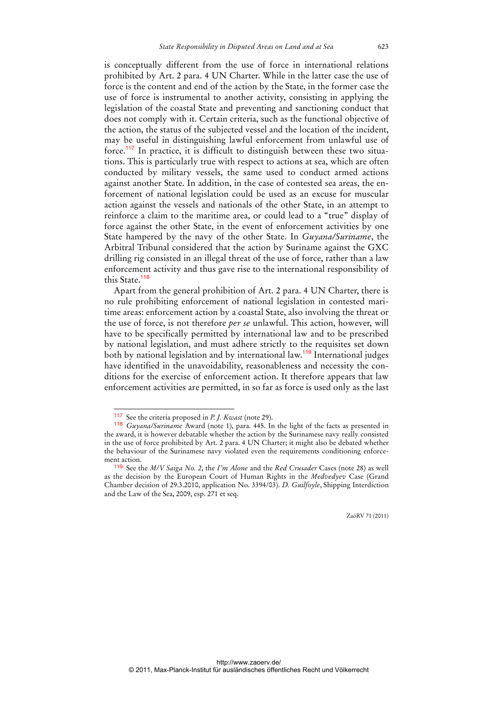is conceptually different from the use of force in international relations prohibited by Art. 2 para. 4 UN Charter. While in the latter case the use of force is the content and end of the action by the State, in the former case the use of force is instrumental to another activity, consisting in applying the legislation of the coastal State and preventing and sanctioning conduct that does not comply with it. Certain criteria, such as the functional objective of the action, the status of the subjected vessel and the location of the incident, may be useful in distinguishing lawful enforcement from unlawful use of force.117 In practice, it is difficult to distinguish between these two situations. This is particularly true with respect to actions at sea, which are often conducted by military vessels, the same used to conduct armed actions against another State. In addition, in the case of contested sea areas, the enforcement of national legislation could be used as an excuse for muscular action against the vessels and nationals of the other State, in an attempt to reinforce a claim to the maritime area, or could lead to a "true" display of force against the other State, in the event of enforcement activities by one State hampered by the navy of the other State. In *Guyana/Suriname*, the Arbitral Tribunal considered that the action by Suriname against the GXC drilling rig consisted in an illegal threat of the use of force, rather than a law enforcement activity and thus gave rise to the international responsibility of this State.<sup>118</sup>

Apart from the general prohibition of Art. 2 para. 4 UN Charter, there is no rule prohibiting enforcement of national legislation in contested maritime areas: enforcement action by a coastal State, also involving the threat or the use of force, is not therefore *per se* unlawful. This action, however, will have to be specifically permitted by international law and to be prescribed by national legislation, and must adhere strictly to the requisites set down both by national legislation and by international law.<sup>119</sup> International judges have identified in the unavoidability, reasonableness and necessity the conditions for the exercise of enforcement action. It therefore appears that law enforcement activities are permitted, in so far as force is used only as the last

<sup>117</sup> See the criteria proposed in *P. J. Kwast* (note 29).

<sup>118</sup> *Guyana/Suriname* Award (note 1), para. 445. In the light of the facts as presented in the award, it is however debatable whether the action by the Surinamese navy really consisted in the use of force prohibited by Art. 2 para. 4 UN Charter; it might also be debated whether the behaviour of the Surinamese navy violated even the requirements conditioning enforcement action.

<sup>119</sup> See the *M/V Saiga No. 2*, the *I'm Alone* and the *Red Crusader* Cases (note 28) as well as the decision by the European Court of Human Rights in the *Medvedyev* Case (Grand Chamber decision of 29.3.2010, application No. 3394/03). *D. Guilfoyle*, Shipping Interdiction and the Law of the Sea, 2009, esp. 271 et seq.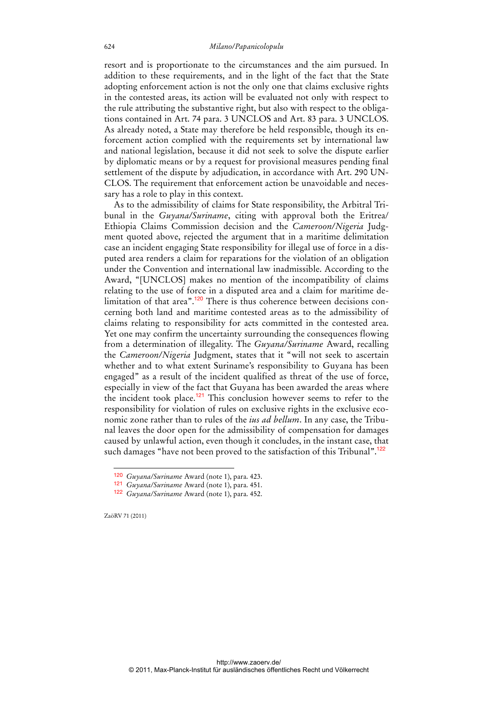resort and is proportionate to the circumstances and the aim pursued. In addition to these requirements, and in the light of the fact that the State adopting enforcement action is not the only one that claims exclusive rights in the contested areas, its action will be evaluated not only with respect to the rule attributing the substantive right, but also with respect to the obligations contained in Art. 74 para. 3 UNCLOS and Art. 83 para. 3 UNCLOS. As already noted, a State may therefore be held responsible, though its enforcement action complied with the requirements set by international law and national legislation, because it did not seek to solve the dispute earlier by diplomatic means or by a request for provisional measures pending final settlement of the dispute by adjudication, in accordance with Art. 290 UN-CLOS. The requirement that enforcement action be unavoidable and necessary has a role to play in this context.

As to the admissibility of claims for State responsibility, the Arbitral Tribunal in the *Guyana/Suriname*, citing with approval both the Eritrea/ Ethiopia Claims Commission decision and the *Cameroon/Nigeria* Judgment quoted above, rejected the argument that in a maritime delimitation case an incident engaging State responsibility for illegal use of force in a disputed area renders a claim for reparations for the violation of an obligation under the Convention and international law inadmissible. According to the Award, "[UNCLOS] makes no mention of the incompatibility of claims relating to the use of force in a disputed area and a claim for maritime delimitation of that area".<sup>120</sup> There is thus coherence between decisions concerning both land and maritime contested areas as to the admissibility of claims relating to responsibility for acts committed in the contested area. Yet one may confirm the uncertainty surrounding the consequences flowing from a determination of illegality. The *Guyana/Suriname* Award, recalling the *Cameroon/Nigeria* Judgment, states that it "will not seek to ascertain whether and to what extent Suriname's responsibility to Guyana has been engaged" as a result of the incident qualified as threat of the use of force, especially in view of the fact that Guyana has been awarded the areas where the incident took place.<sup>121</sup> This conclusion however seems to refer to the responsibility for violation of rules on exclusive rights in the exclusive economic zone rather than to rules of the *ius ad bellum*. In any case, the Tribunal leaves the door open for the admissibility of compensation for damages caused by unlawful action, even though it concludes, in the instant case, that such damages "have not been proved to the satisfaction of this Tribunal".<sup>122</sup>

ZaöRV 71 (2011)

<sup>120</sup> *Guyana/Suriname* Award (note 1), para. 423.

<sup>121</sup> *Guyana/Suriname* Award (note 1), para. 451.

<sup>122</sup> *Guyana/Suriname* Award (note 1), para. 452.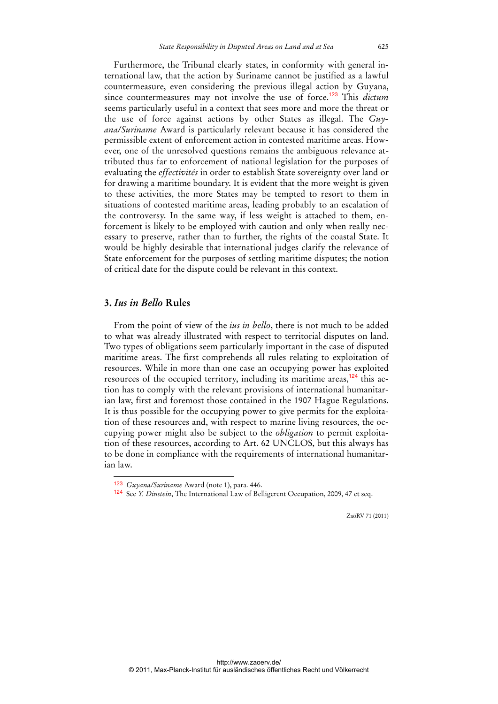Furthermore, the Tribunal clearly states, in conformity with general international law, that the action by Suriname cannot be justified as a lawful countermeasure, even considering the previous illegal action by Guyana, since countermeasures may not involve the use of force.<sup>123</sup> This *dictum* seems particularly useful in a context that sees more and more the threat or the use of force against actions by other States as illegal. The *Guyana/Suriname* Award is particularly relevant because it has considered the permissible extent of enforcement action in contested maritime areas. However, one of the unresolved questions remains the ambiguous relevance attributed thus far to enforcement of national legislation for the purposes of evaluating the *effectivités* in order to establish State sovereignty over land or for drawing a maritime boundary. It is evident that the more weight is given to these activities, the more States may be tempted to resort to them in situations of contested maritime areas, leading probably to an escalation of the controversy. In the same way, if less weight is attached to them, enforcement is likely to be employed with caution and only when really necessary to preserve, rather than to further, the rights of the coastal State. It would be highly desirable that international judges clarify the relevance of State enforcement for the purposes of settling maritime disputes; the notion of critical date for the dispute could be relevant in this context.

### **3.** *Ius in Bello* **Rules**

 $\overline{a}$ 

From the point of view of the *ius in bello*, there is not much to be added to what was already illustrated with respect to territorial disputes on land. Two types of obligations seem particularly important in the case of disputed maritime areas. The first comprehends all rules relating to exploitation of resources. While in more than one case an occupying power has exploited resources of the occupied territory, including its maritime areas, $124$  this action has to comply with the relevant provisions of international humanitarian law, first and foremost those contained in the 1907 Hague Regulations. It is thus possible for the occupying power to give permits for the exploitation of these resources and, with respect to marine living resources, the occupying power might also be subject to the *obligation* to permit exploitation of these resources, according to Art. 62 UNCLOS, but this always has to be done in compliance with the requirements of international humanitarian law.

<sup>123</sup> *Guyana/Suriname* Award (note 1), para. 446.

<sup>124</sup> See *Y. Dinstein*, The International Law of Belligerent Occupation, 2009, 47 et seq.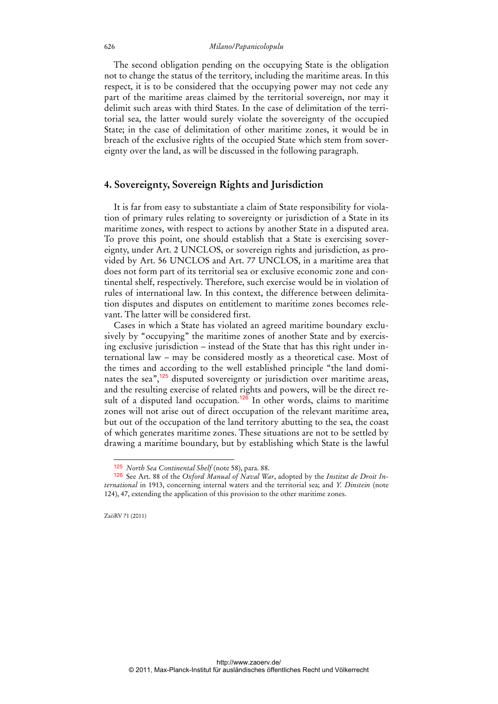#### 626 *Milano/Papanicolopulu*

The second obligation pending on the occupying State is the obligation not to change the status of the territory, including the maritime areas. In this respect, it is to be considered that the occupying power may not cede any part of the maritime areas claimed by the territorial sovereign, nor may it delimit such areas with third States. In the case of delimitation of the territorial sea, the latter would surely violate the sovereignty of the occupied State; in the case of delimitation of other maritime zones, it would be in breach of the exclusive rights of the occupied State which stem from sovereignty over the land, as will be discussed in the following paragraph.

### **4. Sovereignty, Sovereign Rights and Jurisdiction**

It is far from easy to substantiate a claim of State responsibility for violation of primary rules relating to sovereignty or jurisdiction of a State in its maritime zones, with respect to actions by another State in a disputed area. To prove this point, one should establish that a State is exercising sovereignty, under Art. 2 UNCLOS, or sovereign rights and jurisdiction, as provided by Art. 56 UNCLOS and Art. 77 UNCLOS, in a maritime area that does not form part of its territorial sea or exclusive economic zone and continental shelf, respectively. Therefore, such exercise would be in violation of rules of international law. In this context, the difference between delimitation disputes and disputes on entitlement to maritime zones becomes relevant. The latter will be considered first.

Cases in which a State has violated an agreed maritime boundary exclusively by "occupying" the maritime zones of another State and by exercising exclusive jurisdiction – instead of the State that has this right under international law – may be considered mostly as a theoretical case. Most of the times and according to the well established principle "the land dominates the sea",<sup>125</sup> disputed sovereignty or jurisdiction over maritime areas, and the resulting exercise of related rights and powers, will be the direct result of a disputed land occupation.<sup>126</sup> In other words, claims to maritime zones will not arise out of direct occupation of the relevant maritime area, but out of the occupation of the land territory abutting to the sea, the coast of which generates maritime zones. These situations are not to be settled by drawing a maritime boundary, but by establishing which State is the lawful

ZaöRV 71 (2011)

<sup>125</sup> *North Sea Continental Shelf* (note 58), para. 88.

<sup>126</sup> See Art. 88 of the *Oxford Manual of Naval War*, adopted by the *Institut de Droit International* in 1913, concerning internal waters and the territorial sea; and *Y. Dinstein* (note 124), 47, extending the application of this provision to the other maritime zones.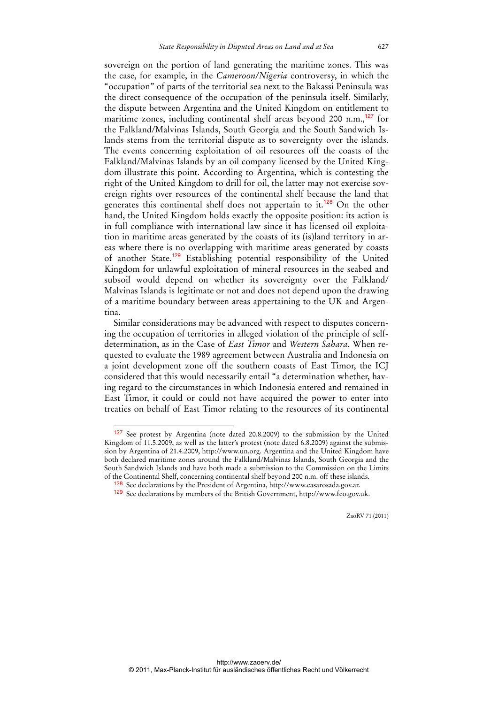sovereign on the portion of land generating the maritime zones. This was the case, for example, in the *Cameroon/Nigeria* controversy, in which the "occupation" of parts of the territorial sea next to the Bakassi Peninsula was the direct consequence of the occupation of the peninsula itself. Similarly, the dispute between Argentina and the United Kingdom on entitlement to maritime zones, including continental shelf areas beyond 200 n.m., $^{127}$  for the Falkland/Malvinas Islands, South Georgia and the South Sandwich Islands stems from the territorial dispute as to sovereignty over the islands. The events concerning exploitation of oil resources off the coasts of the Falkland/Malvinas Islands by an oil company licensed by the United Kingdom illustrate this point. According to Argentina, which is contesting the right of the United Kingdom to drill for oil, the latter may not exercise sovereign rights over resources of the continental shelf because the land that generates this continental shelf does not appertain to it.<sup>128</sup> On the other hand, the United Kingdom holds exactly the opposite position: its action is in full compliance with international law since it has licensed oil exploitation in maritime areas generated by the coasts of its (is)land territory in areas where there is no overlapping with maritime areas generated by coasts of another State.<sup>129</sup> Establishing potential responsibility of the United Kingdom for unlawful exploitation of mineral resources in the seabed and subsoil would depend on whether its sovereignty over the Falkland/ Malvinas Islands is legitimate or not and does not depend upon the drawing of a maritime boundary between areas appertaining to the UK and Argentina.

Similar considerations may be advanced with respect to disputes concerning the occupation of territories in alleged violation of the principle of selfdetermination, as in the Case of *East Timor* and *Western Sahara*. When requested to evaluate the 1989 agreement between Australia and Indonesia on a joint development zone off the southern coasts of East Timor, the ICJ considered that this would necessarily entail "a determination whether, having regard to the circumstances in which Indonesia entered and remained in East Timor, it could or could not have acquired the power to enter into treaties on behalf of East Timor relating to the resources of its continental

 $\ddot{ }$ 

<sup>127</sup> See protest by Argentina (note dated 20.8.2009) to the submission by the United Kingdom of 11.5.2009, as well as the latter's protest (note dated 6.8.2009) against the submission by Argentina of 21.4.2009, http://www.un.org. Argentina and the United Kingdom have both declared maritime zones around the Falkland/Malvinas Islands, South Georgia and the South Sandwich Islands and have both made a submission to the Commission on the Limits of the Continental Shelf, concerning continental shelf beyond 200 n.m. off these islands.

<sup>&</sup>lt;sup>128</sup> See declarations by the President of Argentina, http://www.casarosada.gov.ar.

<sup>129</sup> See declarations by members of the British Government, http://www.fco.gov.uk.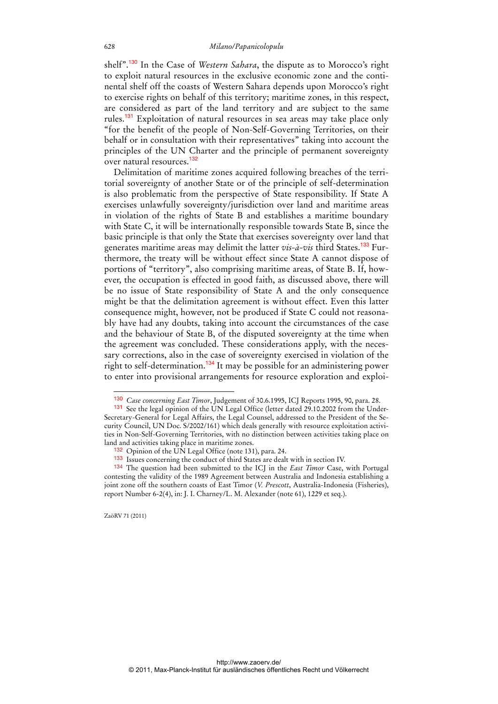shelf".<sup>130</sup> In the Case of *Western Sahara*, the dispute as to Morocco's right to exploit natural resources in the exclusive economic zone and the continental shelf off the coasts of Western Sahara depends upon Morocco's right to exercise rights on behalf of this territory; maritime zones, in this respect, are considered as part of the land territory and are subject to the same rules.<sup>131</sup> Exploitation of natural resources in sea areas may take place only "for the benefit of the people of Non-Self-Governing Territories, on their behalf or in consultation with their representatives" taking into account the principles of the UN Charter and the principle of permanent sovereignty over natural resources.<sup>132</sup>

Delimitation of maritime zones acquired following breaches of the territorial sovereignty of another State or of the principle of self-determination is also problematic from the perspective of State responsibility. If State A exercises unlawfully sovereignty/jurisdiction over land and maritime areas in violation of the rights of State B and establishes a maritime boundary with State C, it will be internationally responsible towards State B, since the basic principle is that only the State that exercises sovereignty over land that generates maritime areas may delimit the latter *vis-à-vis* third States.133 Furthermore, the treaty will be without effect since State A cannot dispose of portions of "territory", also comprising maritime areas, of State B. If, however, the occupation is effected in good faith, as discussed above, there will be no issue of State responsibility of State A and the only consequence might be that the delimitation agreement is without effect. Even this latter consequence might, however, not be produced if State C could not reasonably have had any doubts, taking into account the circumstances of the case and the behaviour of State B, of the disputed sovereignty at the time when the agreement was concluded. These considerations apply, with the necessary corrections, also in the case of sovereignty exercised in violation of the right to self-determination.<sup>134</sup> It may be possible for an administering power to enter into provisional arrangements for resource exploration and exploi-

ZaöRV 71 (2011)

<sup>130</sup> *Case concerning East Timor*, Judgement of 30.6.1995, ICJ Reports 1995, 90, para. 28.

<sup>131</sup> See the legal opinion of the UN Legal Office (letter dated 29.10.2002 from the Under-Secretary-General for Legal Affairs, the Legal Counsel, addressed to the President of the Security Council, UN Doc. S/2002/161) which deals generally with resource exploitation activities in Non-Self-Governing Territories, with no distinction between activities taking place on land and activities taking place in maritime zones.

<sup>132</sup> Opinion of the UN Legal Office (note 131), para. 24.

<sup>133</sup> Issues concerning the conduct of third States are dealt with in section IV.

<sup>134</sup> The question had been submitted to the ICJ in the *East Timor* Case, with Portugal contesting the validity of the 1989 Agreement between Australia and Indonesia establishing a joint zone off the southern coasts of East Timor (*V. Prescott*, Australia-Indonesia (Fisheries), report Number 6-2(4), in: J. I. Charney/L. M. Alexander (note 61), 1229 et seq.).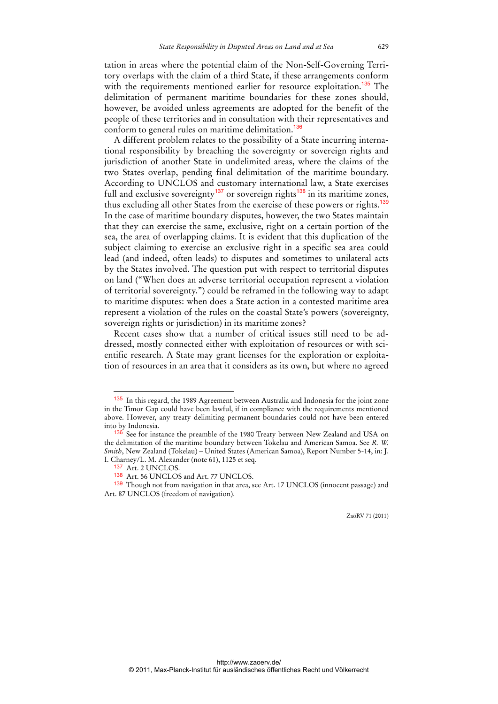tation in areas where the potential claim of the Non-Self-Governing Territory overlaps with the claim of a third State, if these arrangements conform with the requirements mentioned earlier for resource exploitation.<sup>135</sup> The delimitation of permanent maritime boundaries for these zones should, however, be avoided unless agreements are adopted for the benefit of the people of these territories and in consultation with their representatives and conform to general rules on maritime delimitation.<sup>136</sup>

A different problem relates to the possibility of a State incurring international responsibility by breaching the sovereignty or sovereign rights and jurisdiction of another State in undelimited areas, where the claims of the two States overlap, pending final delimitation of the maritime boundary. According to UNCLOS and customary international law, a State exercises full and exclusive sovereignty<sup>137</sup> or sovereign rights<sup>138</sup> in its maritime zones, thus excluding all other States from the exercise of these powers or rights.<sup>139</sup> In the case of maritime boundary disputes, however, the two States maintain that they can exercise the same, exclusive, right on a certain portion of the sea, the area of overlapping claims. It is evident that this duplication of the subject claiming to exercise an exclusive right in a specific sea area could lead (and indeed, often leads) to disputes and sometimes to unilateral acts by the States involved. The question put with respect to territorial disputes on land ("When does an adverse territorial occupation represent a violation of territorial sovereignty.") could be reframed in the following way to adapt to maritime disputes: when does a State action in a contested maritime area represent a violation of the rules on the coastal State's powers (sovereignty, sovereign rights or jurisdiction) in its maritime zones?

Recent cases show that a number of critical issues still need to be addressed, mostly connected either with exploitation of resources or with scientific research. A State may grant licenses for the exploration or exploitation of resources in an area that it considers as its own, but where no agreed

<sup>&</sup>lt;sup>135</sup> In this regard, the 1989 Agreement between Australia and Indonesia for the joint zone in the Timor Gap could have been lawful, if in compliance with the requirements mentioned above. However, any treaty delimiting permanent boundaries could not have been entered into by Indonesia.

<sup>&</sup>lt;sup>136</sup> See for instance the preamble of the 1980 Treaty between New Zealand and USA on the delimitation of the maritime boundary between Tokelau and American Samoa. See *R. W. Smith*, New Zealand (Tokelau) – United States (American Samoa), Report Number 5-14, in: J. I. Charney/L. M. Alexander (note 61), 1125 et seq.

<sup>137</sup> Art. 2 UNCLOS.

<sup>138</sup> Art. 56 UNCLOS and Art. 77 UNCLOS.

<sup>139</sup> Though not from navigation in that area, see Art. 17 UNCLOS (innocent passage) and Art. 87 UNCLOS (freedom of navigation).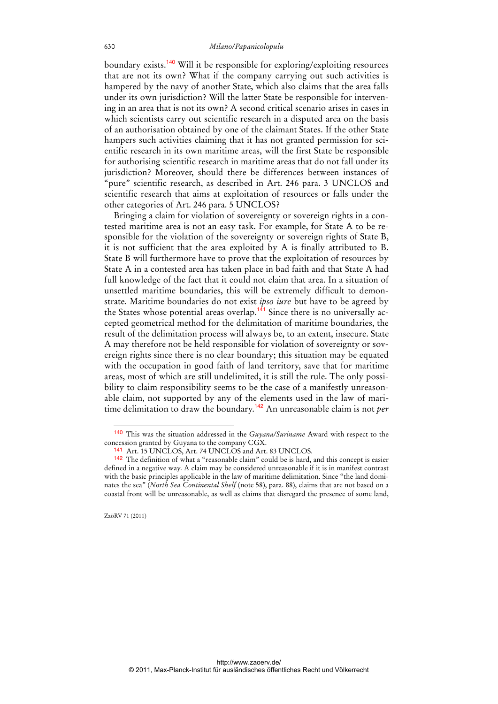boundary exists.<sup>140</sup> Will it be responsible for exploring/exploiting resources that are not its own? What if the company carrying out such activities is hampered by the navy of another State, which also claims that the area falls under its own jurisdiction? Will the latter State be responsible for intervening in an area that is not its own? A second critical scenario arises in cases in which scientists carry out scientific research in a disputed area on the basis of an authorisation obtained by one of the claimant States. If the other State hampers such activities claiming that it has not granted permission for scientific research in its own maritime areas, will the first State be responsible for authorising scientific research in maritime areas that do not fall under its jurisdiction? Moreover, should there be differences between instances of "pure" scientific research, as described in Art. 246 para. 3 UNCLOS and scientific research that aims at exploitation of resources or falls under the other categories of Art. 246 para. 5 UNCLOS?

Bringing a claim for violation of sovereignty or sovereign rights in a contested maritime area is not an easy task. For example, for State A to be responsible for the violation of the sovereignty or sovereign rights of State B, it is not sufficient that the area exploited by A is finally attributed to B. State B will furthermore have to prove that the exploitation of resources by State A in a contested area has taken place in bad faith and that State A had full knowledge of the fact that it could not claim that area. In a situation of unsettled maritime boundaries, this will be extremely difficult to demonstrate. Maritime boundaries do not exist *ipso iure* but have to be agreed by the States whose potential areas overlap.<sup>141</sup> Since there is no universally accepted geometrical method for the delimitation of maritime boundaries, the result of the delimitation process will always be, to an extent, insecure. State A may therefore not be held responsible for violation of sovereignty or sovereign rights since there is no clear boundary; this situation may be equated with the occupation in good faith of land territory, save that for maritime areas, most of which are still undelimited, it is still the rule. The only possibility to claim responsibility seems to be the case of a manifestly unreasonable claim, not supported by any of the elements used in the law of maritime delimitation to draw the boundary.<sup>142</sup> An unreasonable claim is not *per*

<sup>140</sup> This was the situation addressed in the *Guyana/Suriname* Award with respect to the concession granted by Guyana to the company CGX.

<sup>141</sup> Art. 15 UNCLOS, Art. 74 UNCLOS and Art. 83 UNCLOS.

<sup>142</sup> The definition of what a "reasonable claim" could be is hard, and this concept is easier defined in a negative way. A claim may be considered unreasonable if it is in manifest contrast with the basic principles applicable in the law of maritime delimitation. Since "the land dominates the sea" (*North Sea Continental Shelf* (note 58), para. 88), claims that are not based on a coastal front will be unreasonable, as well as claims that disregard the presence of some land,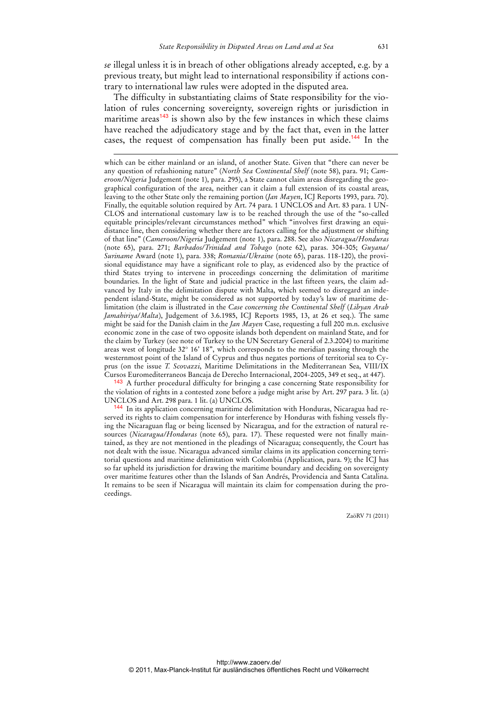*se* illegal unless it is in breach of other obligations already accepted, e.g. by a previous treaty, but might lead to international responsibility if actions contrary to international law rules were adopted in the disputed area.

The difficulty in substantiating claims of State responsibility for the violation of rules concerning sovereignty, sovereign rights or jurisdiction in maritime areas $143$  is shown also by the few instances in which these claims have reached the adjudicatory stage and by the fact that, even in the latter cases, the request of compensation has finally been put aside.<sup>144</sup> In the

-

143 A further procedural difficulty for bringing a case concerning State responsibility for the violation of rights in a contested zone before a judge might arise by Art. 297 para. 3 lit. (a) UNCLOS and Art. 298 para. 1 lit. (a) UNCLOS.

144 In its application concerning maritime delimitation with Honduras, Nicaragua had reserved its rights to claim compensation for interference by Honduras with fishing vessels flying the Nicaraguan flag or being licensed by Nicaragua, and for the extraction of natural resources (*Nicaragua/Honduras* (note 65), para. 17). These requested were not finally maintained, as they are not mentioned in the pleadings of Nicaragua; consequently, the Court has not dealt with the issue. Nicaragua advanced similar claims in its application concerning territorial questions and maritime delimitation with Colombia (Application, para. 9); the ICJ has so far upheld its jurisdiction for drawing the maritime boundary and deciding on sovereignty over maritime features other than the Islands of San Andrés, Providencia and Santa Catalina. It remains to be seen if Nicaragua will maintain its claim for compensation during the proceedings.

which can be either mainland or an island, of another State. Given that "there can never be any question of refashioning nature" (*North Sea Continental Shelf* (note 58), para. 91; *Cameroon/Nigeria* Judgement (note 1), para. 295), a State cannot claim areas disregarding the geographical configuration of the area, neither can it claim a full extension of its coastal areas, leaving to the other State only the remaining portion (*Jan Mayen*, ICJ Reports 1993, para. 70). Finally, the equitable solution required by Art. 74 para. 1 UNCLOS and Art. 83 para. 1 UN-CLOS and international customary law is to be reached through the use of the "so-called equitable principles/relevant circumstances method" which "involves first drawing an equidistance line, then considering whether there are factors calling for the adjustment or shifting of that line" (*Cameroon/Nigeria* Judgement (note 1), para. 288. See also *Nicaragua/Honduras* (note 65), para. 271; *Barbados/Trinidad and Tobago* (note 62), paras. 304-305; *Guyana/ Suriname* Award (note 1), para. 338; *Romania/Ukraine* (note 65), paras. 118-120), the provisional equidistance may have a significant role to play, as evidenced also by the practice of third States trying to intervene in proceedings concerning the delimitation of maritime boundaries. In the light of State and judicial practice in the last fifteen years, the claim advanced by Italy in the delimitation dispute with Malta, which seemed to disregard an independent island-State, might be considered as not supported by today's law of maritime delimitation (the claim is illustrated in the *Case concerning the Continental Shelf* (*Libyan Arab Jamahiriya/Malta*), Judgement of 3.6.1985, ICJ Reports 1985, 13, at 26 et seq.). The same might be said for the Danish claim in the *Jan Mayen* Case, requesting a full 200 m.n. exclusive economic zone in the case of two opposite islands both dependent on mainland State, and for the claim by Turkey (see note of Turkey to the UN Secretary General of 2.3.2004) to maritime areas west of longitude 32° 16' 18", which corresponds to the meridian passing through the westernmost point of the Island of Cyprus and thus negates portions of territorial sea to Cyprus (on the issue *T. Scovazzi*, Maritime Delimitations in the Mediterranean Sea, VIII/IX Cursos Euromediterraneos Bancaja de Derecho Internacional, 2004-2005, 349 et seq., at 447).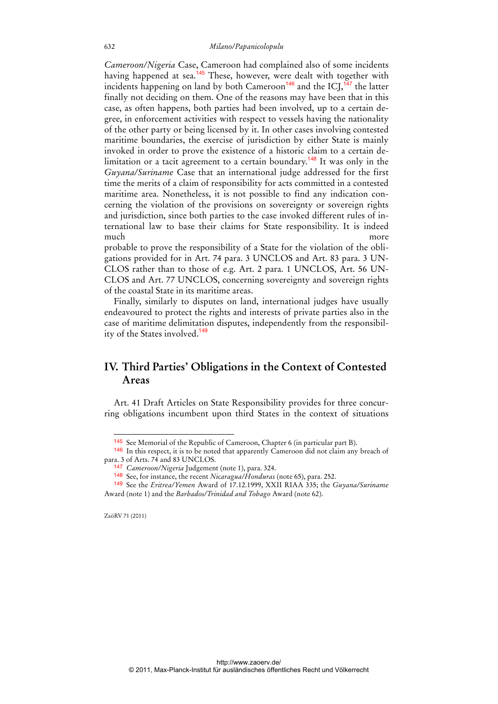*Cameroon/Nigeria* Case, Cameroon had complained also of some incidents having happened at sea.<sup>145</sup> These, however, were dealt with together with incidents happening on land by both Cameroon<sup>146</sup> and the  $ICJ<sub>1</sub><sup>147</sup>$  the latter finally not deciding on them. One of the reasons may have been that in this case, as often happens, both parties had been involved, up to a certain degree, in enforcement activities with respect to vessels having the nationality of the other party or being licensed by it. In other cases involving contested maritime boundaries, the exercise of jurisdiction by either State is mainly invoked in order to prove the existence of a historic claim to a certain delimitation or a tacit agreement to a certain boundary.<sup>148</sup> It was only in the *Guyana/Suriname* Case that an international judge addressed for the first time the merits of a claim of responsibility for acts committed in a contested maritime area. Nonetheless, it is not possible to find any indication concerning the violation of the provisions on sovereignty or sovereign rights and jurisdiction, since both parties to the case invoked different rules of international law to base their claims for State responsibility. It is indeed much more more more

probable to prove the responsibility of a State for the violation of the obligations provided for in Art. 74 para. 3 UNCLOS and Art. 83 para. 3 UN-CLOS rather than to those of e.g. Art. 2 para. 1 UNCLOS, Art. 56 UN-CLOS and Art. 77 UNCLOS, concerning sovereignty and sovereign rights of the coastal State in its maritime areas.

Finally, similarly to disputes on land, international judges have usually endeavoured to protect the rights and interests of private parties also in the case of maritime delimitation disputes, independently from the responsibility of the States involved.<sup>149</sup>

## **IV. Third Parties' Obligations in the Context of Contested Areas**

Art. 41 Draft Articles on State Responsibility provides for three concurring obligations incumbent upon third States in the context of situations

ZaöRV 71 (2011)

 $\ddot{ }$ 

<sup>145</sup> See Memorial of the Republic of Cameroon, Chapter 6 (in particular part B).

<sup>146</sup> In this respect, it is to be noted that apparently Cameroon did not claim any breach of para. 3 of Arts. 74 and 83 UNCLOS.

<sup>147</sup> *Cameroon/Nigeria* Judgement (note 1), para. 324.

<sup>148</sup> See, for instance, the recent *Nicaragua/Honduras* (note 65), para. 252.

<sup>149</sup> See the *Eritrea/Yemen* Award of 17.12.1999, XXII RIAA 335; the *Guyana/Suriname* Award (note 1) and the *Barbados/Trinidad and Tobago* Award (note 62).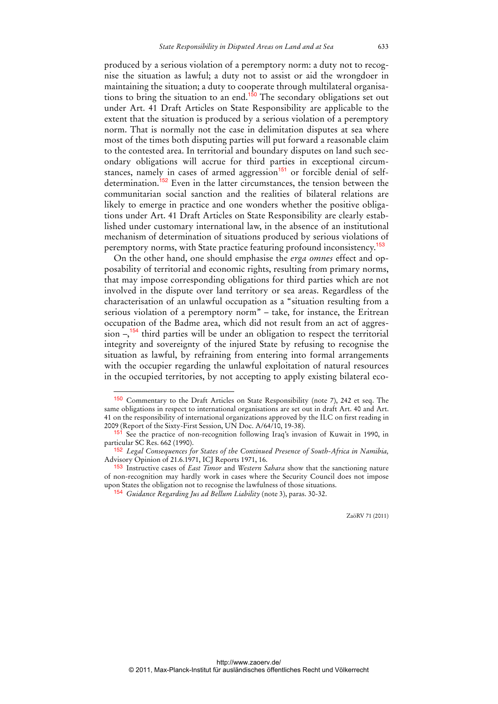produced by a serious violation of a peremptory norm: a duty not to recognise the situation as lawful; a duty not to assist or aid the wrongdoer in maintaining the situation; a duty to cooperate through multilateral organisations to bring the situation to an end.<sup>150</sup> The secondary obligations set out under Art. 41 Draft Articles on State Responsibility are applicable to the extent that the situation is produced by a serious violation of a peremptory norm. That is normally not the case in delimitation disputes at sea where most of the times both disputing parties will put forward a reasonable claim to the contested area. In territorial and boundary disputes on land such secondary obligations will accrue for third parties in exceptional circumstances, namely in cases of armed aggression<sup>151</sup> or forcible denial of selfdetermination.<sup>152</sup> Even in the latter circumstances, the tension between the communitarian social sanction and the realities of bilateral relations are likely to emerge in practice and one wonders whether the positive obligations under Art. 41 Draft Articles on State Responsibility are clearly established under customary international law, in the absence of an institutional mechanism of determination of situations produced by serious violations of peremptory norms, with State practice featuring profound inconsistency.<sup>153</sup>

On the other hand, one should emphasise the *erga omnes* effect and opposability of territorial and economic rights, resulting from primary norms, that may impose corresponding obligations for third parties which are not involved in the dispute over land territory or sea areas. Regardless of the characterisation of an unlawful occupation as a "situation resulting from a serious violation of a peremptory norm" – take, for instance, the Eritrean occupation of the Badme area, which did not result from an act of aggression  $-\sqrt{154}$  third parties will be under an obligation to respect the territorial integrity and sovereignty of the injured State by refusing to recognise the situation as lawful, by refraining from entering into formal arrangements with the occupier regarding the unlawful exploitation of natural resources in the occupied territories, by not accepting to apply existing bilateral eco-

 $\overline{a}$ 

<sup>150</sup> Commentary to the Draft Articles on State Responsibility (note 7), 242 et seq. The same obligations in respect to international organisations are set out in draft Art. 40 and Art. 41 on the responsibility of international organizations approved by the ILC on first reading in 2009 (Report of the Sixty-First Session, UN Doc. A/64/10, 19-38).

<sup>151</sup> See the practice of non-recognition following Iraq's invasion of Kuwait in 1990, in particular SC Res. 662 (1990).

<sup>152</sup> *Legal Consequences for States of the Continued Presence of South-Africa in Namibia,*  Advisory Opinion of 21.6.1971, ICJ Reports 1971, 16.

<sup>153</sup> Instructive cases of *East Timor* and *Western Sahara* show that the sanctioning nature of non-recognition may hardly work in cases where the Security Council does not impose upon States the obligation not to recognise the lawfulness of those situations.

<sup>154</sup> *Guidance Regarding Jus ad Bellum Liability* (note 3), paras. 30-32.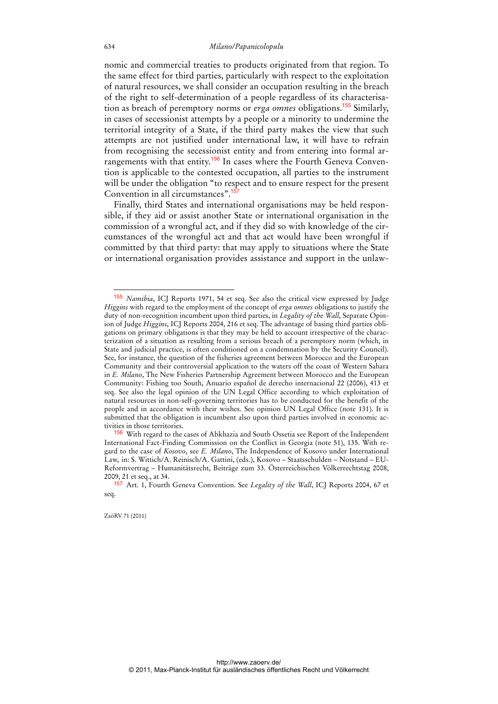nomic and commercial treaties to products originated from that region. To the same effect for third parties, particularly with respect to the exploitation of natural resources, we shall consider an occupation resulting in the breach of the right to self-determination of a people regardless of its characterisation as breach of peremptory norms or *erga omnes* obligations.<sup>155</sup> Similarly, in cases of secessionist attempts by a people or a minority to undermine the territorial integrity of a State, if the third party makes the view that such attempts are not justified under international law, it will have to refrain from recognising the secessionist entity and from entering into formal arrangements with that entity.<sup>156</sup> In cases where the Fourth Geneva Convention is applicable to the contested occupation, all parties to the instrument will be under the obligation "to respect and to ensure respect for the present Convention in all circumstances".<sup>15</sup>

Finally, third States and international organisations may be held responsible, if they aid or assist another State or international organisation in the commission of a wrongful act, and if they did so with knowledge of the circumstances of the wrongful act and that act would have been wrongful if committed by that third party: that may apply to situations where the State or international organisation provides assistance and support in the unlaw-

ZaöRV 71 (2011)

<sup>155</sup> *Namibia*, ICJ Reports 1971, 54 et seq. See also the critical view expressed by Judge *Higgins* with regard to the employment of the concept of *erga omnes* obligations to justify the duty of non-recognition incumbent upon third parties, in *Legality of the Wall*, Separate Opinion of Judge *Higgins*, ICJ Reports 2004, 216 et seq. The advantage of basing third parties obligations on primary obligations is that they may be held to account irrespective of the characterization of a situation as resulting from a serious breach of a peremptory norm (which, in State and judicial practice, is often conditioned on a condemnation by the Security Council). See, for instance, the question of the fisheries agreement between Morocco and the European Community and their controversial application to the waters off the coast of Western Sahara in *E. Milano*, The New Fisheries Partnership Agreement between Morocco and the European Community: Fishing too South, Anuario español de derecho internacional 22 (2006), 413 et seq. See also the legal opinion of the UN Legal Office according to which exploitation of natural resources in non-self-governing territories has to be conducted for the benefit of the people and in accordance with their wishes. See opinion UN Legal Office (note 131). It is submitted that the obligation is incumbent also upon third parties involved in economic activities in those territories.

<sup>&</sup>lt;sup>156</sup> With regard to the cases of Abkhazia and South Ossetia see Report of the Independent International Fact-Finding Commission on the Conflict in Georgia (note 51), 135. With regard to the case of *Kosovo*, see *E. Milano*, The Independence of Kosovo under International Law, in: S. Wittich/A. Reinisch/A. Gattini, (eds.), Kosovo – Staatsschulden – Notstand – EU-Reformvertrag – Humanitätsrecht, Beiträge zum 33. Österreichischen Völkerrechtstag 2008, 2009, 21 et seq., at 34.

<sup>157</sup> Art. 1, Fourth Geneva Convention. See *Legality of the Wall*, ICJ Reports 2004, 67 et seq.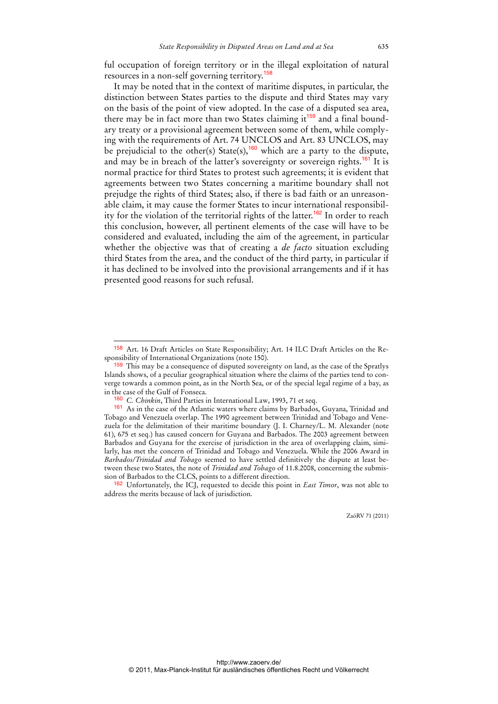ful occupation of foreign territory or in the illegal exploitation of natural resources in a non-self governing territory.<sup>158</sup>

It may be noted that in the context of maritime disputes, in particular, the distinction between States parties to the dispute and third States may vary on the basis of the point of view adopted. In the case of a disputed sea area, there may be in fact more than two States claiming it<sup>159</sup> and a final boundary treaty or a provisional agreement between some of them, while complying with the requirements of Art. 74 UNCLOS and Art. 83 UNCLOS, may be prejudicial to the other(s) State(s),<sup>160</sup> which are a party to the dispute, and may be in breach of the latter's sovereignty or sovereign rights.<sup>161</sup> It is normal practice for third States to protest such agreements; it is evident that agreements between two States concerning a maritime boundary shall not prejudge the rights of third States; also, if there is bad faith or an unreasonable claim, it may cause the former States to incur international responsibility for the violation of the territorial rights of the latter.<sup>162</sup> In order to reach this conclusion, however, all pertinent elements of the case will have to be considered and evaluated, including the aim of the agreement, in particular whether the objective was that of creating a *de facto* situation excluding third States from the area, and the conduct of the third party, in particular if it has declined to be involved into the provisional arrangements and if it has presented good reasons for such refusal.

<sup>158</sup> Art. 16 Draft Articles on State Responsibility; Art. 14 ILC Draft Articles on the Responsibility of International Organizations (note 150).

<sup>&</sup>lt;sup>159</sup> This may be a consequence of disputed sovereignty on land, as the case of the Spratlys Islands shows, of a peculiar geographical situation where the claims of the parties tend to converge towards a common point, as in the North Sea, or of the special legal regime of a bay, as in the case of the Gulf of Fonseca.

<sup>160</sup> *C. Chinkin*, Third Parties in International Law, 1993, 71 et seq.

<sup>161</sup> As in the case of the Atlantic waters where claims by Barbados, Guyana, Trinidad and Tobago and Venezuela overlap. The 1990 agreement between Trinidad and Tobago and Venezuela for the delimitation of their maritime boundary (J. I. Charney/L. M. Alexander (note 61), 675 et seq.) has caused concern for Guyana and Barbados. The 2003 agreement between Barbados and Guyana for the exercise of jurisdiction in the area of overlapping claim, similarly, has met the concern of Trinidad and Tobago and Venezuela. While the 2006 Award in *Barbados/Trinidad and Tobago* seemed to have settled definitively the dispute at least between these two States, the note of *Trinidad and Tobago* of 11.8.2008, concerning the submission of Barbados to the CLCS, points to a different direction.

<sup>162</sup> Unfortunately, the ICJ, requested to decide this point in *East Timor*, was not able to address the merits because of lack of jurisdiction.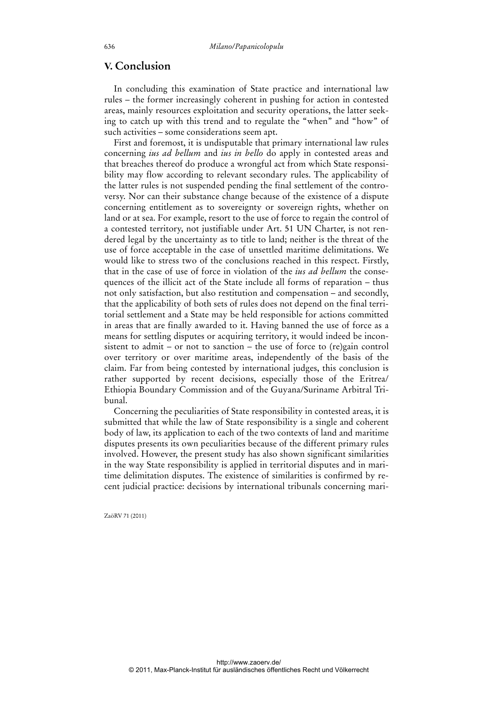## **V. Conclusion**

In concluding this examination of State practice and international law rules – the former increasingly coherent in pushing for action in contested areas, mainly resources exploitation and security operations, the latter seeking to catch up with this trend and to regulate the "when" and "how" of such activities – some considerations seem apt.

First and foremost, it is undisputable that primary international law rules concerning *ius ad bellum* and *ius in bello* do apply in contested areas and that breaches thereof do produce a wrongful act from which State responsibility may flow according to relevant secondary rules. The applicability of the latter rules is not suspended pending the final settlement of the controversy. Nor can their substance change because of the existence of a dispute concerning entitlement as to sovereignty or sovereign rights, whether on land or at sea. For example, resort to the use of force to regain the control of a contested territory, not justifiable under Art. 51 UN Charter, is not rendered legal by the uncertainty as to title to land; neither is the threat of the use of force acceptable in the case of unsettled maritime delimitations. We would like to stress two of the conclusions reached in this respect. Firstly, that in the case of use of force in violation of the *ius ad bellum* the consequences of the illicit act of the State include all forms of reparation – thus not only satisfaction, but also restitution and compensation – and secondly, that the applicability of both sets of rules does not depend on the final territorial settlement and a State may be held responsible for actions committed in areas that are finally awarded to it. Having banned the use of force as a means for settling disputes or acquiring territory, it would indeed be inconsistent to admit – or not to sanction – the use of force to (re)gain control over territory or over maritime areas, independently of the basis of the claim. Far from being contested by international judges, this conclusion is rather supported by recent decisions, especially those of the Eritrea/ Ethiopia Boundary Commission and of the Guyana/Suriname Arbitral Tribunal.

Concerning the peculiarities of State responsibility in contested areas, it is submitted that while the law of State responsibility is a single and coherent body of law, its application to each of the two contexts of land and maritime disputes presents its own peculiarities because of the different primary rules involved. However, the present study has also shown significant similarities in the way State responsibility is applied in territorial disputes and in maritime delimitation disputes. The existence of similarities is confirmed by recent judicial practice: decisions by international tribunals concerning mari-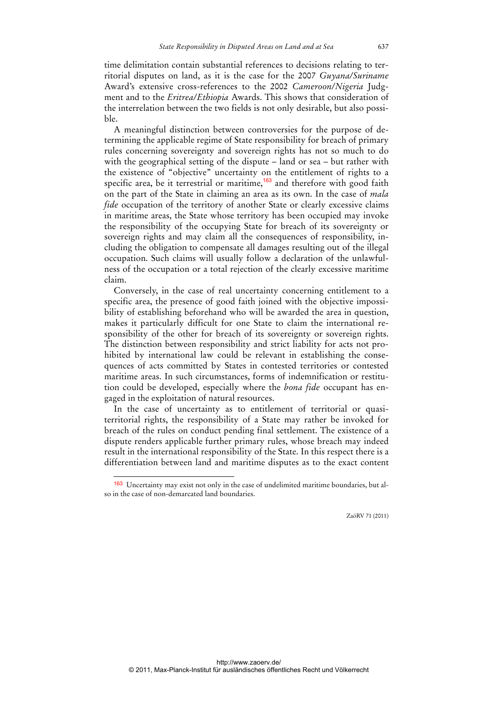time delimitation contain substantial references to decisions relating to territorial disputes on land, as it is the case for the 2007 *Guyana/Suriname* Award's extensive cross-references to the 2002 *Cameroon/Nigeria* Judgment and to the *Eritrea/Ethiopia* Awards. This shows that consideration of the interrelation between the two fields is not only desirable, but also possible.

A meaningful distinction between controversies for the purpose of determining the applicable regime of State responsibility for breach of primary rules concerning sovereignty and sovereign rights has not so much to do with the geographical setting of the dispute – land or sea – but rather with the existence of "objective" uncertainty on the entitlement of rights to a specific area, be it terrestrial or maritime, $163$  and therefore with good faith on the part of the State in claiming an area as its own. In the case of *mala fide* occupation of the territory of another State or clearly excessive claims in maritime areas, the State whose territory has been occupied may invoke the responsibility of the occupying State for breach of its sovereignty or sovereign rights and may claim all the consequences of responsibility, including the obligation to compensate all damages resulting out of the illegal occupation. Such claims will usually follow a declaration of the unlawfulness of the occupation or a total rejection of the clearly excessive maritime claim.

Conversely, in the case of real uncertainty concerning entitlement to a specific area, the presence of good faith joined with the objective impossibility of establishing beforehand who will be awarded the area in question, makes it particularly difficult for one State to claim the international responsibility of the other for breach of its sovereignty or sovereign rights. The distinction between responsibility and strict liability for acts not prohibited by international law could be relevant in establishing the consequences of acts committed by States in contested territories or contested maritime areas. In such circumstances, forms of indemnification or restitution could be developed, especially where the *bona fide* occupant has engaged in the exploitation of natural resources.

In the case of uncertainty as to entitlement of territorial or quasiterritorial rights, the responsibility of a State may rather be invoked for breach of the rules on conduct pending final settlement. The existence of a dispute renders applicable further primary rules, whose breach may indeed result in the international responsibility of the State. In this respect there is a differentiation between land and maritime disputes as to the exact content

<sup>163</sup> Uncertainty may exist not only in the case of undelimited maritime boundaries, but also in the case of non-demarcated land boundaries.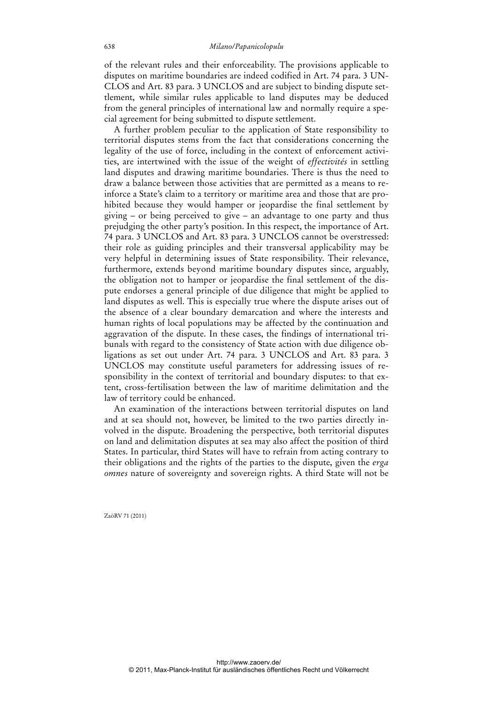of the relevant rules and their enforceability. The provisions applicable to disputes on maritime boundaries are indeed codified in Art. 74 para. 3 UN-CLOS and Art. 83 para. 3 UNCLOS and are subject to binding dispute settlement, while similar rules applicable to land disputes may be deduced from the general principles of international law and normally require a special agreement for being submitted to dispute settlement.

A further problem peculiar to the application of State responsibility to territorial disputes stems from the fact that considerations concerning the legality of the use of force, including in the context of enforcement activities, are intertwined with the issue of the weight of *effectivités* in settling land disputes and drawing maritime boundaries. There is thus the need to draw a balance between those activities that are permitted as a means to reinforce a State's claim to a territory or maritime area and those that are prohibited because they would hamper or jeopardise the final settlement by giving – or being perceived to give – an advantage to one party and thus prejudging the other party's position. In this respect, the importance of Art. 74 para. 3 UNCLOS and Art. 83 para. 3 UNCLOS cannot be overstressed: their role as guiding principles and their transversal applicability may be very helpful in determining issues of State responsibility. Their relevance, furthermore, extends beyond maritime boundary disputes since, arguably, the obligation not to hamper or jeopardise the final settlement of the dispute endorses a general principle of due diligence that might be applied to land disputes as well. This is especially true where the dispute arises out of the absence of a clear boundary demarcation and where the interests and human rights of local populations may be affected by the continuation and aggravation of the dispute. In these cases, the findings of international tribunals with regard to the consistency of State action with due diligence obligations as set out under Art. 74 para. 3 UNCLOS and Art. 83 para. 3 UNCLOS may constitute useful parameters for addressing issues of responsibility in the context of territorial and boundary disputes: to that extent, cross-fertilisation between the law of maritime delimitation and the law of territory could be enhanced.

An examination of the interactions between territorial disputes on land and at sea should not, however, be limited to the two parties directly involved in the dispute. Broadening the perspective, both territorial disputes on land and delimitation disputes at sea may also affect the position of third States. In particular, third States will have to refrain from acting contrary to their obligations and the rights of the parties to the dispute, given the *erga omnes* nature of sovereignty and sovereign rights. A third State will not be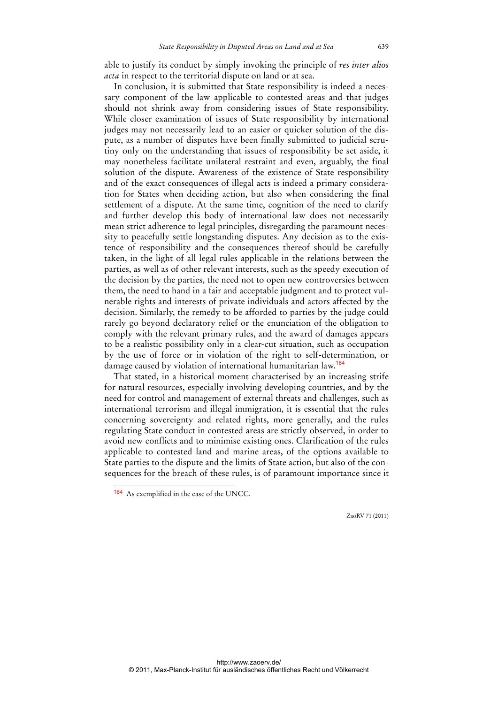able to justify its conduct by simply invoking the principle of *res inter alios acta* in respect to the territorial dispute on land or at sea.

In conclusion, it is submitted that State responsibility is indeed a necessary component of the law applicable to contested areas and that judges should not shrink away from considering issues of State responsibility. While closer examination of issues of State responsibility by international judges may not necessarily lead to an easier or quicker solution of the dispute, as a number of disputes have been finally submitted to judicial scrutiny only on the understanding that issues of responsibility be set aside, it may nonetheless facilitate unilateral restraint and even, arguably, the final solution of the dispute. Awareness of the existence of State responsibility and of the exact consequences of illegal acts is indeed a primary consideration for States when deciding action, but also when considering the final settlement of a dispute. At the same time, cognition of the need to clarify and further develop this body of international law does not necessarily mean strict adherence to legal principles, disregarding the paramount necessity to peacefully settle longstanding disputes. Any decision as to the existence of responsibility and the consequences thereof should be carefully taken, in the light of all legal rules applicable in the relations between the parties, as well as of other relevant interests, such as the speedy execution of the decision by the parties, the need not to open new controversies between them, the need to hand in a fair and acceptable judgment and to protect vulnerable rights and interests of private individuals and actors affected by the decision. Similarly, the remedy to be afforded to parties by the judge could rarely go beyond declaratory relief or the enunciation of the obligation to comply with the relevant primary rules, and the award of damages appears to be a realistic possibility only in a clear-cut situation, such as occupation by the use of force or in violation of the right to self-determination, or damage caused by violation of international humanitarian law.<sup>164</sup>

That stated, in a historical moment characterised by an increasing strife for natural resources, especially involving developing countries, and by the need for control and management of external threats and challenges, such as international terrorism and illegal immigration, it is essential that the rules concerning sovereignty and related rights, more generally, and the rules regulating State conduct in contested areas are strictly observed, in order to avoid new conflicts and to minimise existing ones. Clarification of the rules applicable to contested land and marine areas, of the options available to State parties to the dispute and the limits of State action, but also of the consequences for the breach of these rules, is of paramount importance since it

 $\overline{a}$ 

<sup>164</sup> As exemplified in the case of the UNCC.